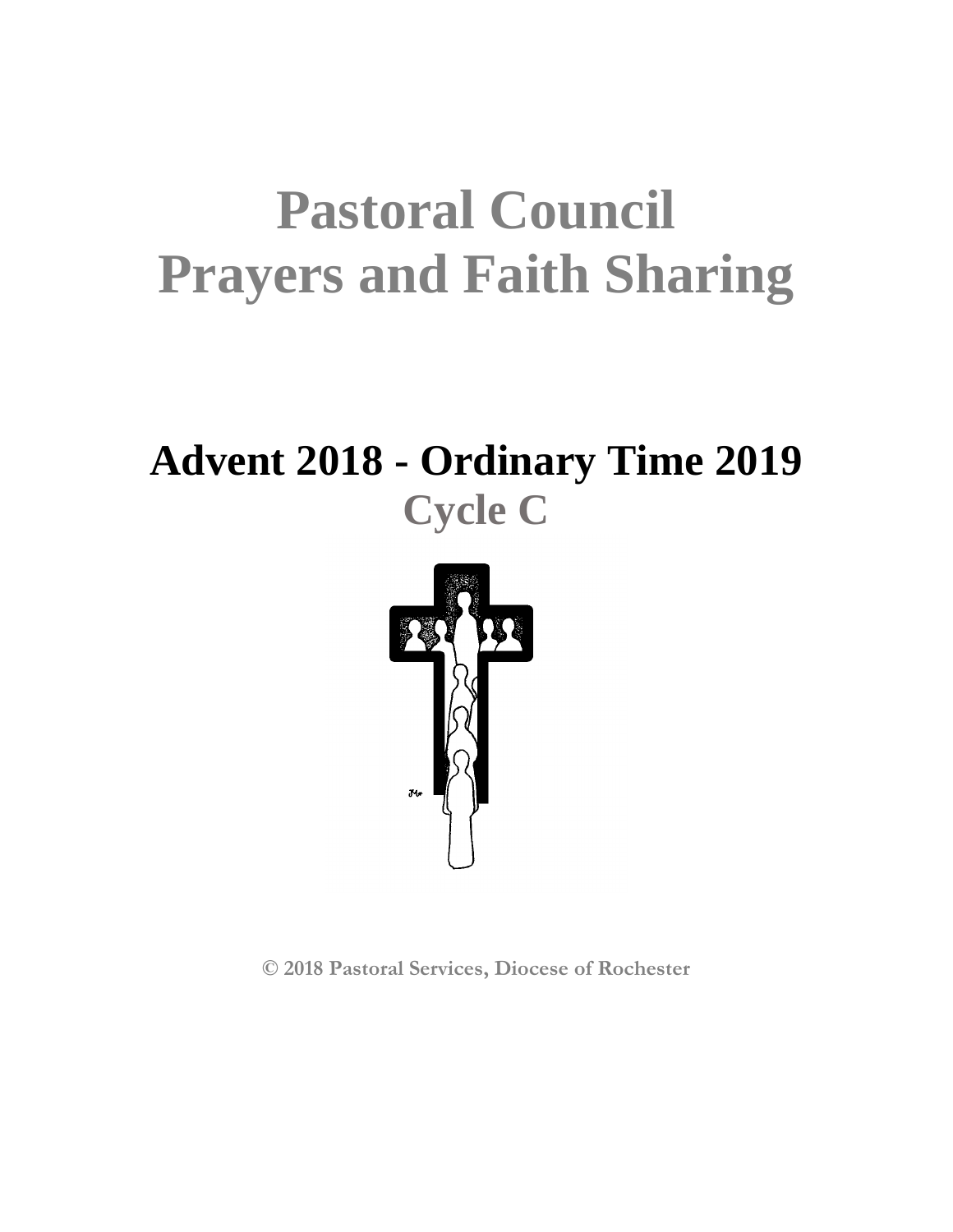# **Pastoral Council Prayers and Faith Sharing**

## **Advent 2018 - Ordinary Time 2019 Cycle C**



**© 2018 Pastoral Services, Diocese of Rochester**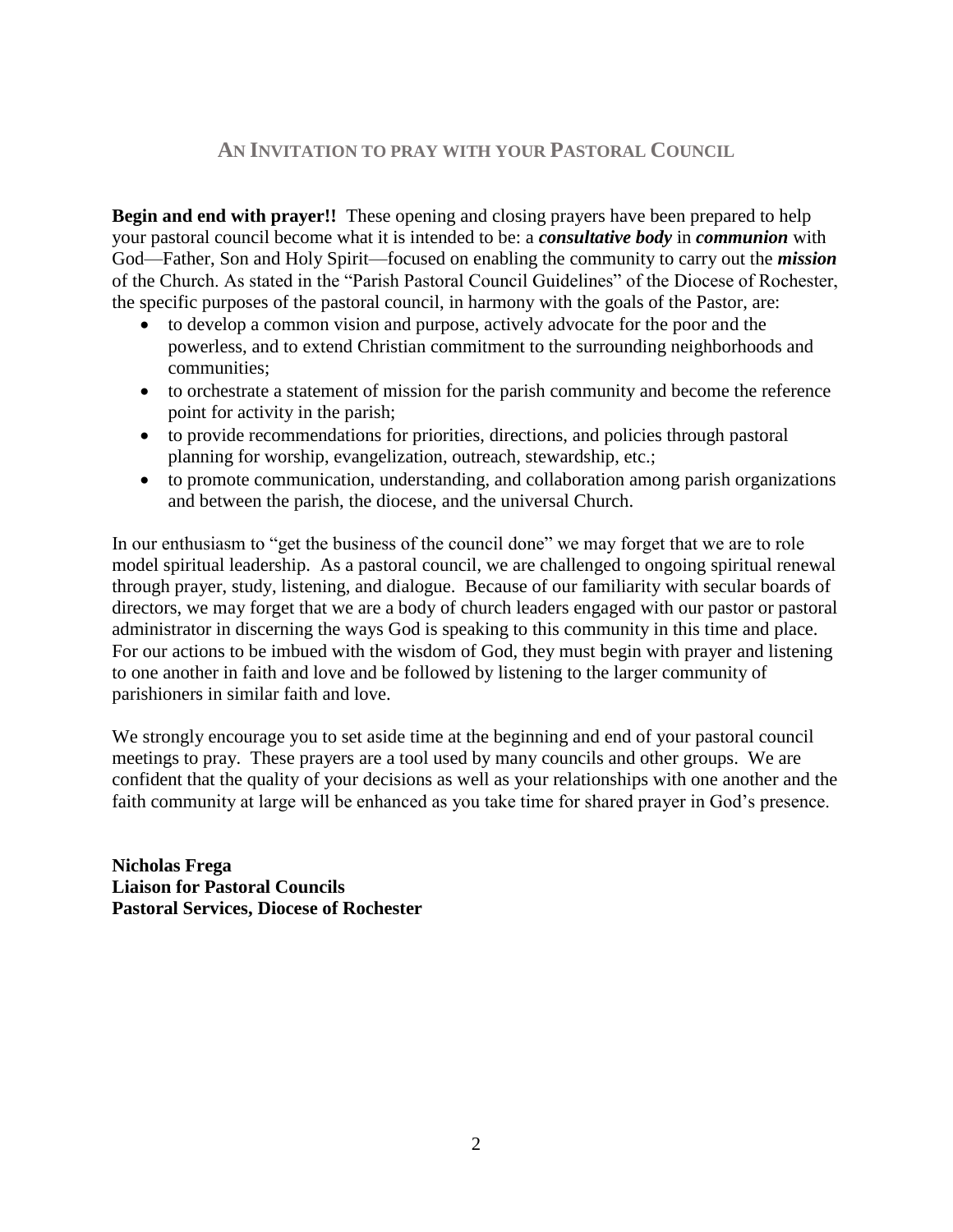#### **AN INVITATION TO PRAY WITH YOUR PASTORAL COUNCIL**

**Begin and end with prayer!!** These opening and closing prayers have been prepared to help your pastoral council become what it is intended to be: a *consultative body* in *communion* with God—Father, Son and Holy Spirit—focused on enabling the community to carry out the *mission* of the Church. As stated in the "Parish Pastoral Council Guidelines" of the Diocese of Rochester, the specific purposes of the pastoral council, in harmony with the goals of the Pastor, are:

- to develop a common vision and purpose, actively advocate for the poor and the powerless, and to extend Christian commitment to the surrounding neighborhoods and communities;
- to orchestrate a statement of mission for the parish community and become the reference point for activity in the parish;
- to provide recommendations for priorities, directions, and policies through pastoral planning for worship, evangelization, outreach, stewardship, etc.;
- to promote communication, understanding, and collaboration among parish organizations and between the parish, the diocese, and the universal Church.

In our enthusiasm to "get the business of the council done" we may forget that we are to role model spiritual leadership. As a pastoral council, we are challenged to ongoing spiritual renewal through prayer, study, listening, and dialogue. Because of our familiarity with secular boards of directors, we may forget that we are a body of church leaders engaged with our pastor or pastoral administrator in discerning the ways God is speaking to this community in this time and place. For our actions to be imbued with the wisdom of God, they must begin with prayer and listening to one another in faith and love and be followed by listening to the larger community of parishioners in similar faith and love.

We strongly encourage you to set aside time at the beginning and end of your pastoral council meetings to pray. These prayers are a tool used by many councils and other groups. We are confident that the quality of your decisions as well as your relationships with one another and the faith community at large will be enhanced as you take time for shared prayer in God's presence.

**Nicholas Frega Liaison for Pastoral Councils Pastoral Services, Diocese of Rochester**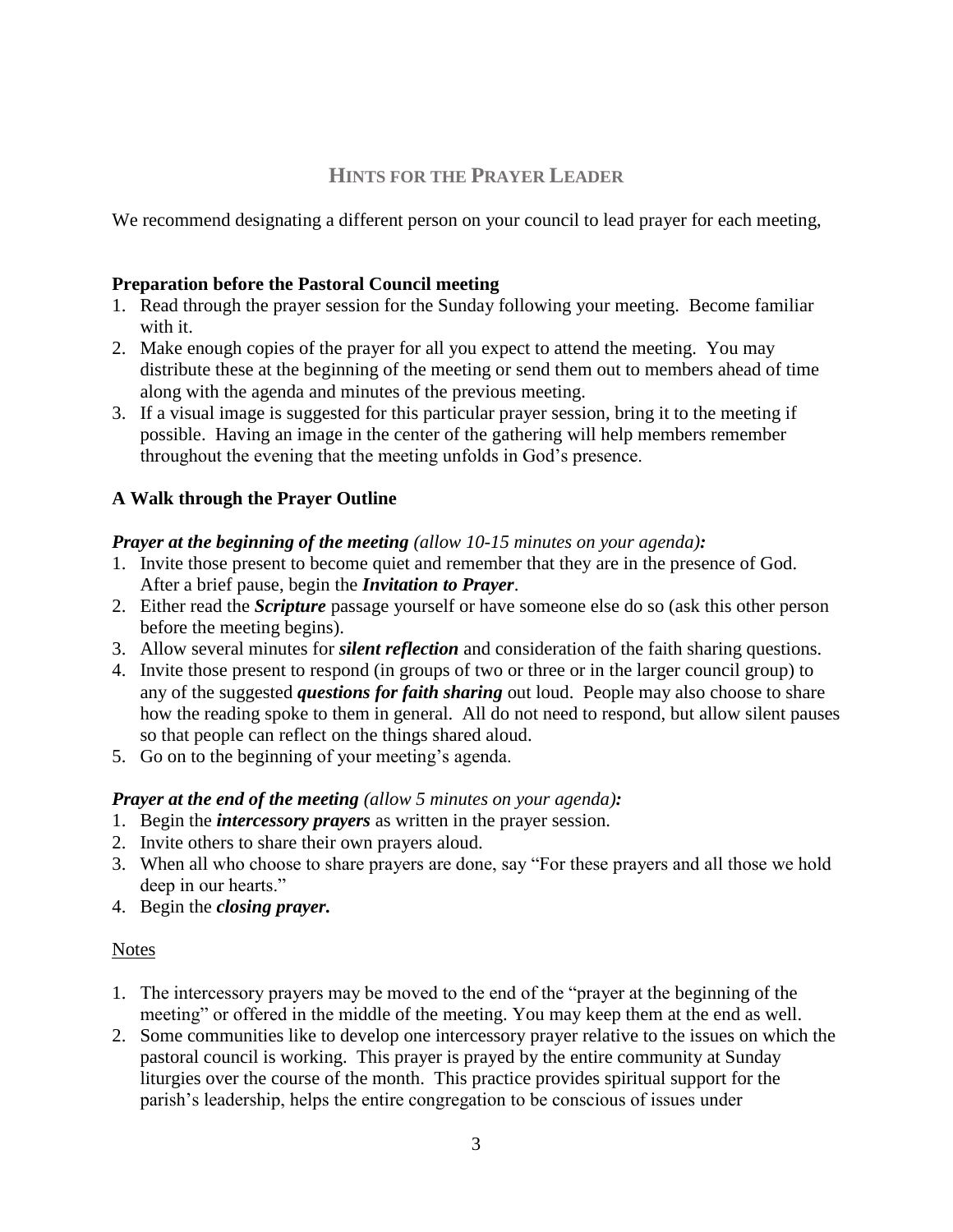#### **HINTS FOR THE PRAYER LEADER**

We recommend designating a different person on your council to lead prayer for each meeting,

#### **Preparation before the Pastoral Council meeting**

- 1. Read through the prayer session for the Sunday following your meeting. Become familiar with it.
- 2. Make enough copies of the prayer for all you expect to attend the meeting. You may distribute these at the beginning of the meeting or send them out to members ahead of time along with the agenda and minutes of the previous meeting.
- 3. If a visual image is suggested for this particular prayer session, bring it to the meeting if possible. Having an image in the center of the gathering will help members remember throughout the evening that the meeting unfolds in God's presence.

#### **A Walk through the Prayer Outline**

#### *Prayer at the beginning of the meeting (allow 10-15 minutes on your agenda):*

- 1. Invite those present to become quiet and remember that they are in the presence of God. After a brief pause, begin the *Invitation to Prayer*.
- 2. Either read the *Scripture* passage yourself or have someone else do so (ask this other person before the meeting begins).
- 3. Allow several minutes for *silent reflection* and consideration of the faith sharing questions.
- 4. Invite those present to respond (in groups of two or three or in the larger council group) to any of the suggested *questions for faith sharing* out loud. People may also choose to share how the reading spoke to them in general. All do not need to respond, but allow silent pauses so that people can reflect on the things shared aloud.
- 5. Go on to the beginning of your meeting's agenda.

#### *Prayer at the end of the meeting (allow 5 minutes on your agenda):*

- 1. Begin the *intercessory prayers* as written in the prayer session.
- 2. Invite others to share their own prayers aloud.
- 3. When all who choose to share prayers are done, say "For these prayers and all those we hold deep in our hearts."
- 4. Begin the *closing prayer.*

#### **Notes**

- 1. The intercessory prayers may be moved to the end of the "prayer at the beginning of the meeting" or offered in the middle of the meeting. You may keep them at the end as well.
- 2. Some communities like to develop one intercessory prayer relative to the issues on which the pastoral council is working. This prayer is prayed by the entire community at Sunday liturgies over the course of the month. This practice provides spiritual support for the parish's leadership, helps the entire congregation to be conscious of issues under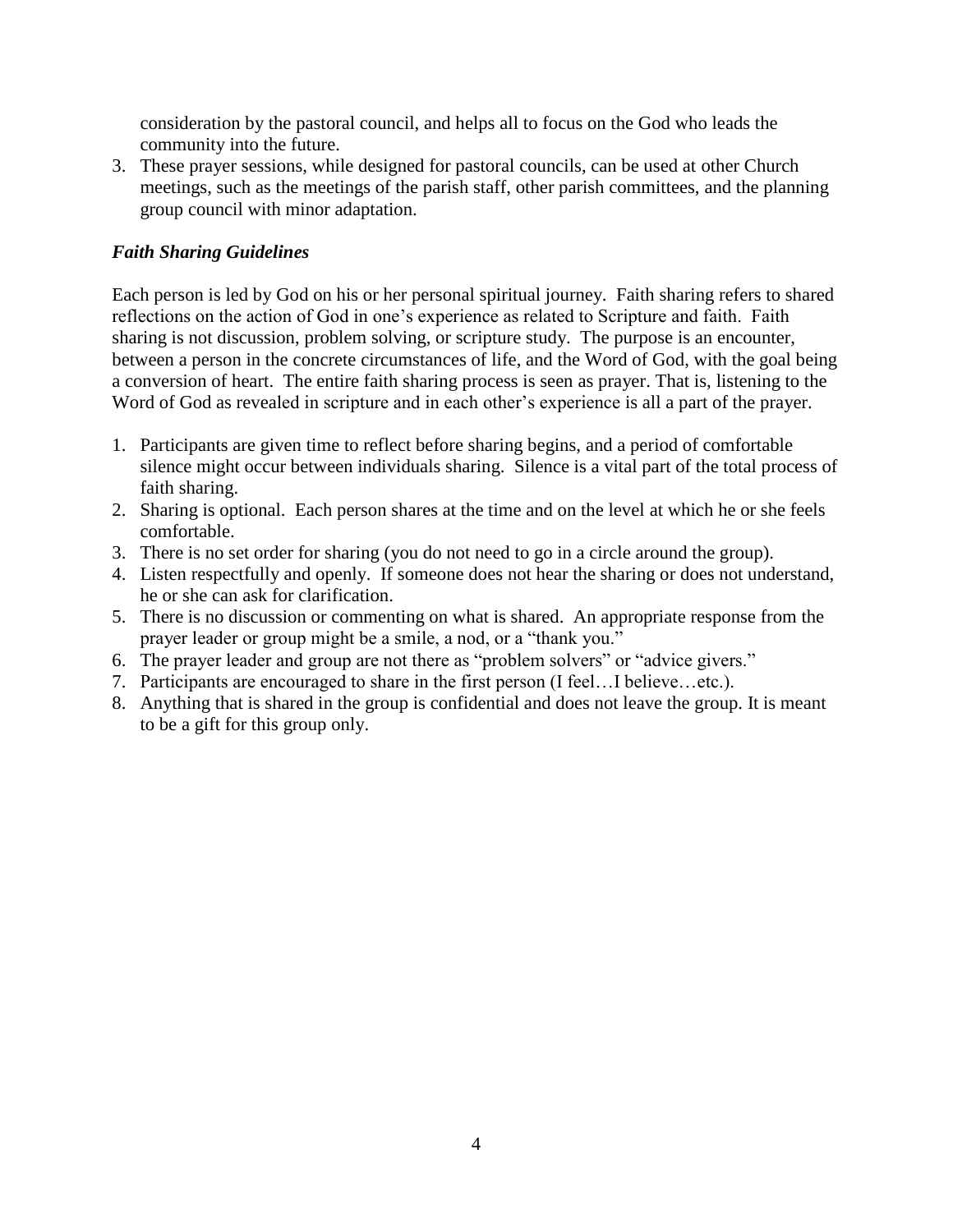consideration by the pastoral council, and helps all to focus on the God who leads the community into the future.

3. These prayer sessions, while designed for pastoral councils, can be used at other Church meetings, such as the meetings of the parish staff, other parish committees, and the planning group council with minor adaptation.

#### *Faith Sharing Guidelines*

Each person is led by God on his or her personal spiritual journey. Faith sharing refers to shared reflections on the action of God in one's experience as related to Scripture and faith. Faith sharing is not discussion, problem solving, or scripture study. The purpose is an encounter, between a person in the concrete circumstances of life, and the Word of God, with the goal being a conversion of heart. The entire faith sharing process is seen as prayer. That is, listening to the Word of God as revealed in scripture and in each other's experience is all a part of the prayer.

- 1. Participants are given time to reflect before sharing begins, and a period of comfortable silence might occur between individuals sharing. Silence is a vital part of the total process of faith sharing.
- 2. Sharing is optional. Each person shares at the time and on the level at which he or she feels comfortable.
- 3. There is no set order for sharing (you do not need to go in a circle around the group).
- 4. Listen respectfully and openly. If someone does not hear the sharing or does not understand, he or she can ask for clarification.
- 5. There is no discussion or commenting on what is shared. An appropriate response from the prayer leader or group might be a smile, a nod, or a "thank you."
- 6. The prayer leader and group are not there as "problem solvers" or "advice givers."
- 7. Participants are encouraged to share in the first person (I feel…I believe…etc.).
- 8. Anything that is shared in the group is confidential and does not leave the group. It is meant to be a gift for this group only.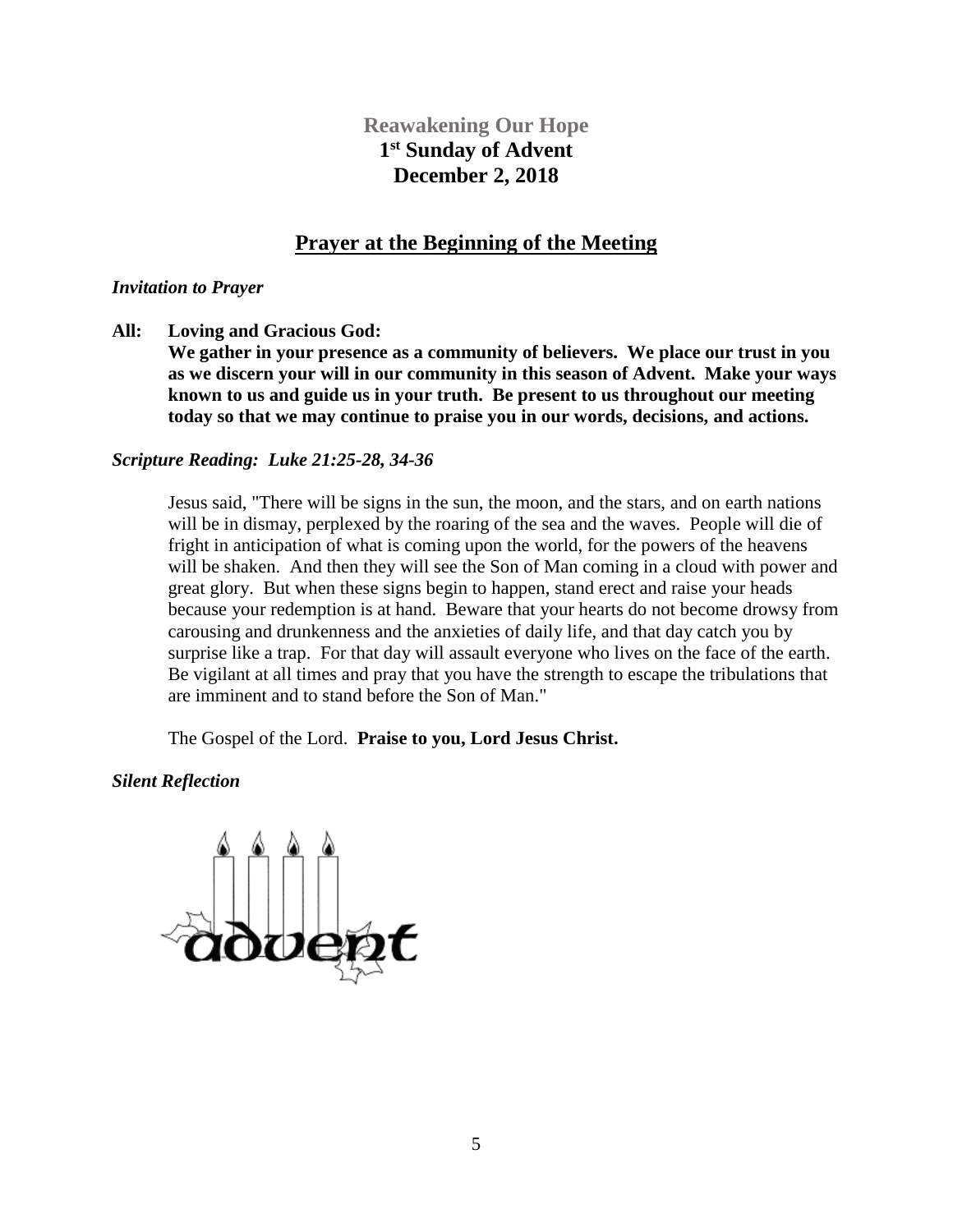## **Reawakening Our Hope 1 st Sunday of Advent December 2, 2018**

## **Prayer at the Beginning of the Meeting**

#### *Invitation to Prayer*

**All: Loving and Gracious God:**

**We gather in your presence as a community of believers. We place our trust in you as we discern your will in our community in this season of Advent. Make your ways known to us and guide us in your truth. Be present to us throughout our meeting today so that we may continue to praise you in our words, decisions, and actions.**

#### *Scripture Reading: Luke 21:25-28, 34-36*

Jesus said, "There will be signs in the sun, the moon, and the stars, and on earth nations will be in dismay, perplexed by the roaring of the sea and the waves. People will die of fright in anticipation of what is coming upon the world, for the powers of the heavens will be shaken. And then they will see the Son of Man coming in a cloud with power and great glory. But when these signs begin to happen, stand erect and raise your heads because your redemption is at hand. Beware that your hearts do not become drowsy from carousing and drunkenness and the anxieties of daily life, and that day catch you by surprise like a trap. For that day will assault everyone who lives on the face of the earth. Be vigilant at all times and pray that you have the strength to escape the tribulations that are imminent and to stand before the Son of Man."

The Gospel of the Lord. **Praise to you, Lord Jesus Christ.**

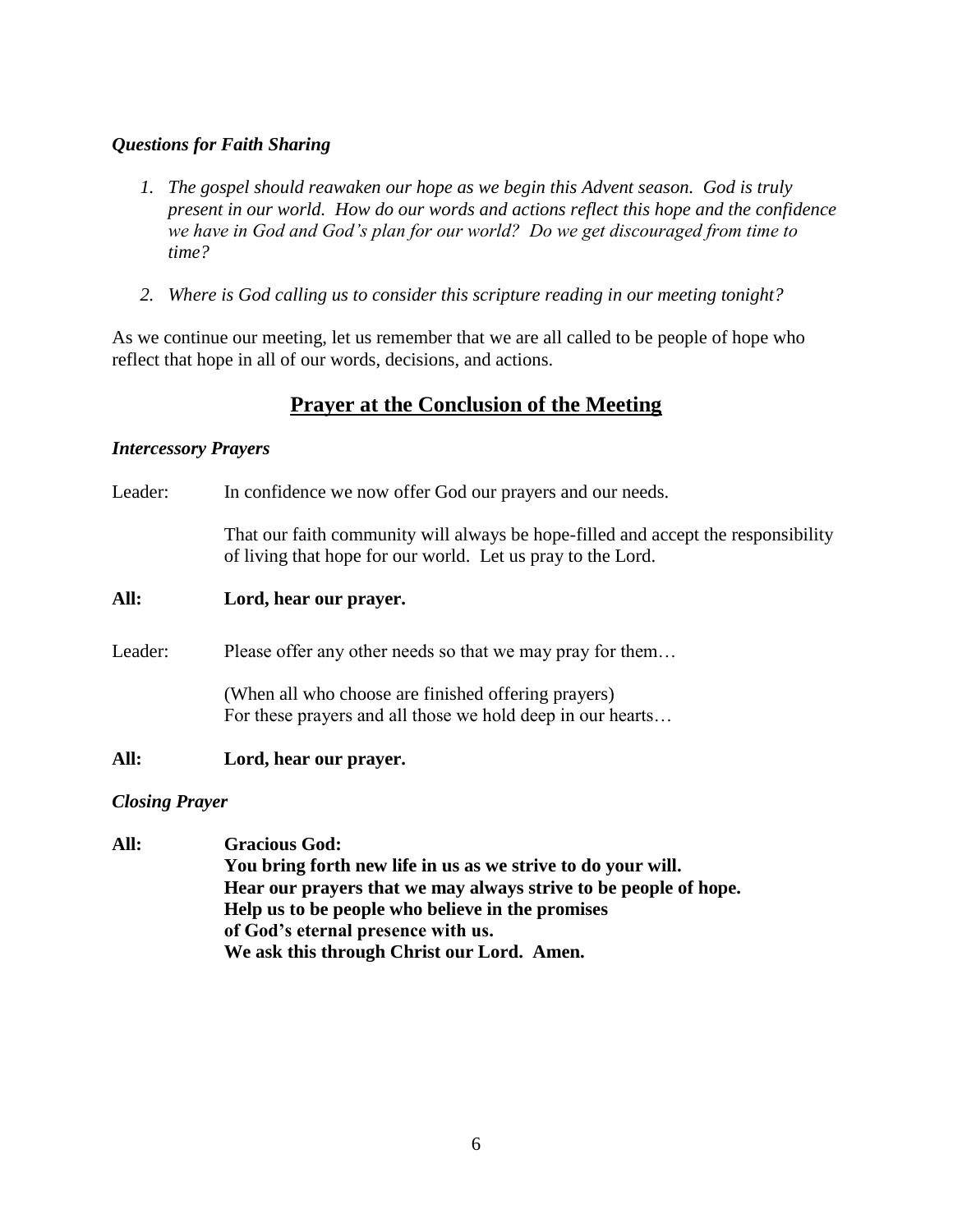#### *Questions for Faith Sharing*

- *1. The gospel should reawaken our hope as we begin this Advent season. God is truly present in our world. How do our words and actions reflect this hope and the confidence we have in God and God's plan for our world? Do we get discouraged from time to time?*
- *2. Where is God calling us to consider this scripture reading in our meeting tonight?*

As we continue our meeting, let us remember that we are all called to be people of hope who reflect that hope in all of our words, decisions, and actions.

## **Prayer at the Conclusion of the Meeting**

#### *Intercessory Prayers*

Leader: In confidence we now offer God our prayers and our needs.

That our faith community will always be hope-filled and accept the responsibility of living that hope for our world. Let us pray to the Lord.

**All: Lord, hear our prayer.**

Leader: Please offer any other needs so that we may pray for them...

(When all who choose are finished offering prayers) For these prayers and all those we hold deep in our hearts…

**All: Lord, hear our prayer.**

#### *Closing Prayer*

**All: Gracious God: You bring forth new life in us as we strive to do your will. Hear our prayers that we may always strive to be people of hope. Help us to be people who believe in the promises of God's eternal presence with us. We ask this through Christ our Lord. Amen.**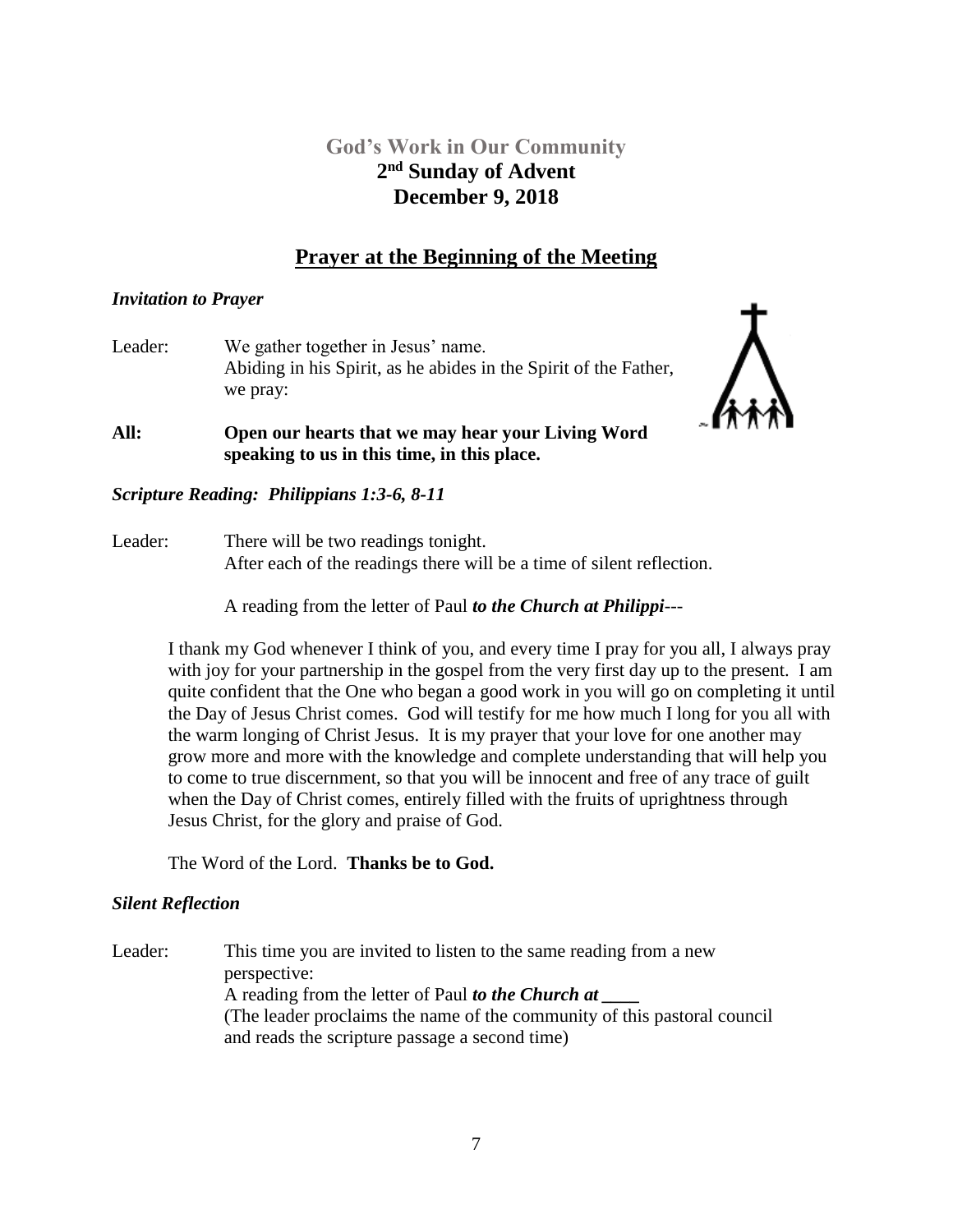## **God's Work in Our Community 2 nd Sunday of Advent December 9, 2018**

## **Prayer at the Beginning of the Meeting**

#### *Invitation to Prayer*

| Leader: | We gather together in Jesus' name.<br>Abiding in his Spirit, as he abides in the Spirit of the Father,<br>we pray: |
|---------|--------------------------------------------------------------------------------------------------------------------|
| All:    | Open our hearts that we may hear your Living Word<br>speaking to us in this time, in this place.                   |



#### *Scripture Reading: Philippians 1:3-6, 8-11*

Leader: There will be two readings tonight. After each of the readings there will be a time of silent reflection.

A reading from the letter of Paul *to the Church at Philippi*---

I thank my God whenever I think of you, and every time I pray for you all, I always pray with joy for your partnership in the gospel from the very first day up to the present. I am quite confident that the One who began a good work in you will go on completing it until the Day of Jesus Christ comes. God will testify for me how much I long for you all with the warm longing of Christ Jesus. It is my prayer that your love for one another may grow more and more with the knowledge and complete understanding that will help you to come to true discernment, so that you will be innocent and free of any trace of guilt when the Day of Christ comes, entirely filled with the fruits of uprightness through Jesus Christ, for the glory and praise of God.

The Word of the Lord. **Thanks be to God.**

#### *Silent Reflection*

Leader: This time you are invited to listen to the same reading from a new perspective: A reading from the letter of Paul *to the Church at \_\_\_\_* (The leader proclaims the name of the community of this pastoral council and reads the scripture passage a second time)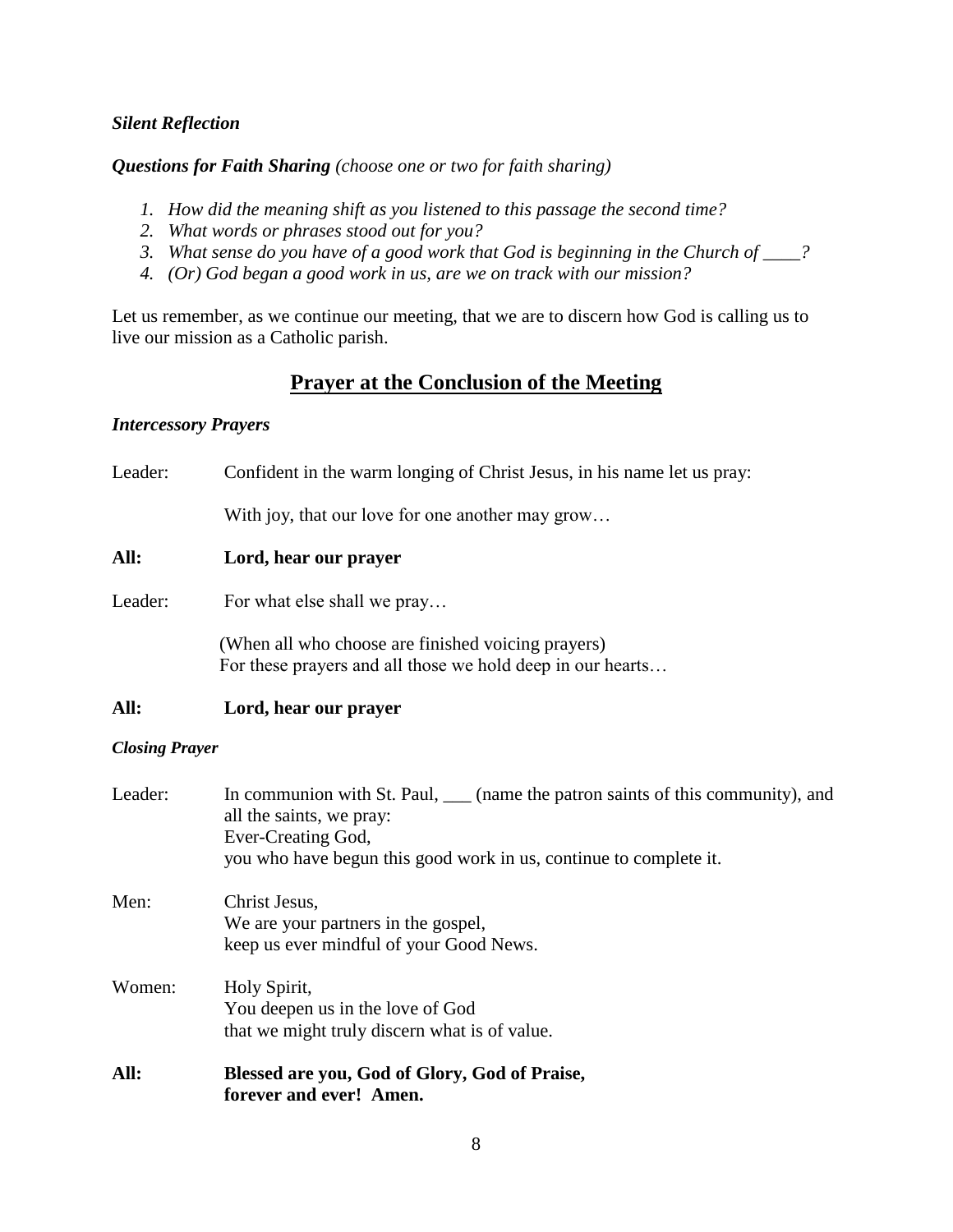#### *Silent Reflection*

*Questions for Faith Sharing (choose one or two for faith sharing)*

- *1. How did the meaning shift as you listened to this passage the second time?*
- *2. What words or phrases stood out for you?*
- *3. What sense do you have of a good work that God is beginning in the Church of \_\_\_\_?*
- *4. (Or) God began a good work in us, are we on track with our mission?*

Let us remember, as we continue our meeting, that we are to discern how God is calling us to live our mission as a Catholic parish.

## **Prayer at the Conclusion of the Meeting**

#### *Intercessory Prayers*

| Leader:               | Confident in the warm longing of Christ Jesus, in his name let us pray:                                                                                                                                 |
|-----------------------|---------------------------------------------------------------------------------------------------------------------------------------------------------------------------------------------------------|
|                       | With joy, that our love for one another may grow                                                                                                                                                        |
| All:                  | Lord, hear our prayer                                                                                                                                                                                   |
| Leader:               | For what else shall we pray                                                                                                                                                                             |
|                       | (When all who choose are finished voicing prayers)<br>For these prayers and all those we hold deep in our hearts                                                                                        |
| All:                  | Lord, hear our prayer                                                                                                                                                                                   |
| <b>Closing Prayer</b> |                                                                                                                                                                                                         |
| Leader:               | In communion with St. Paul, ____ (name the patron saints of this community), and<br>all the saints, we pray:<br>Ever-Creating God,<br>you who have begun this good work in us, continue to complete it. |
| Men:                  | Christ Jesus,<br>We are your partners in the gospel,<br>keep us ever mindful of your Good News.                                                                                                         |
| Women:                | Holy Spirit,<br>You deepen us in the love of God<br>that we might truly discern what is of value.                                                                                                       |
| All:                  | Blessed are you, God of Glory, God of Praise,<br>forever and ever! Amen.                                                                                                                                |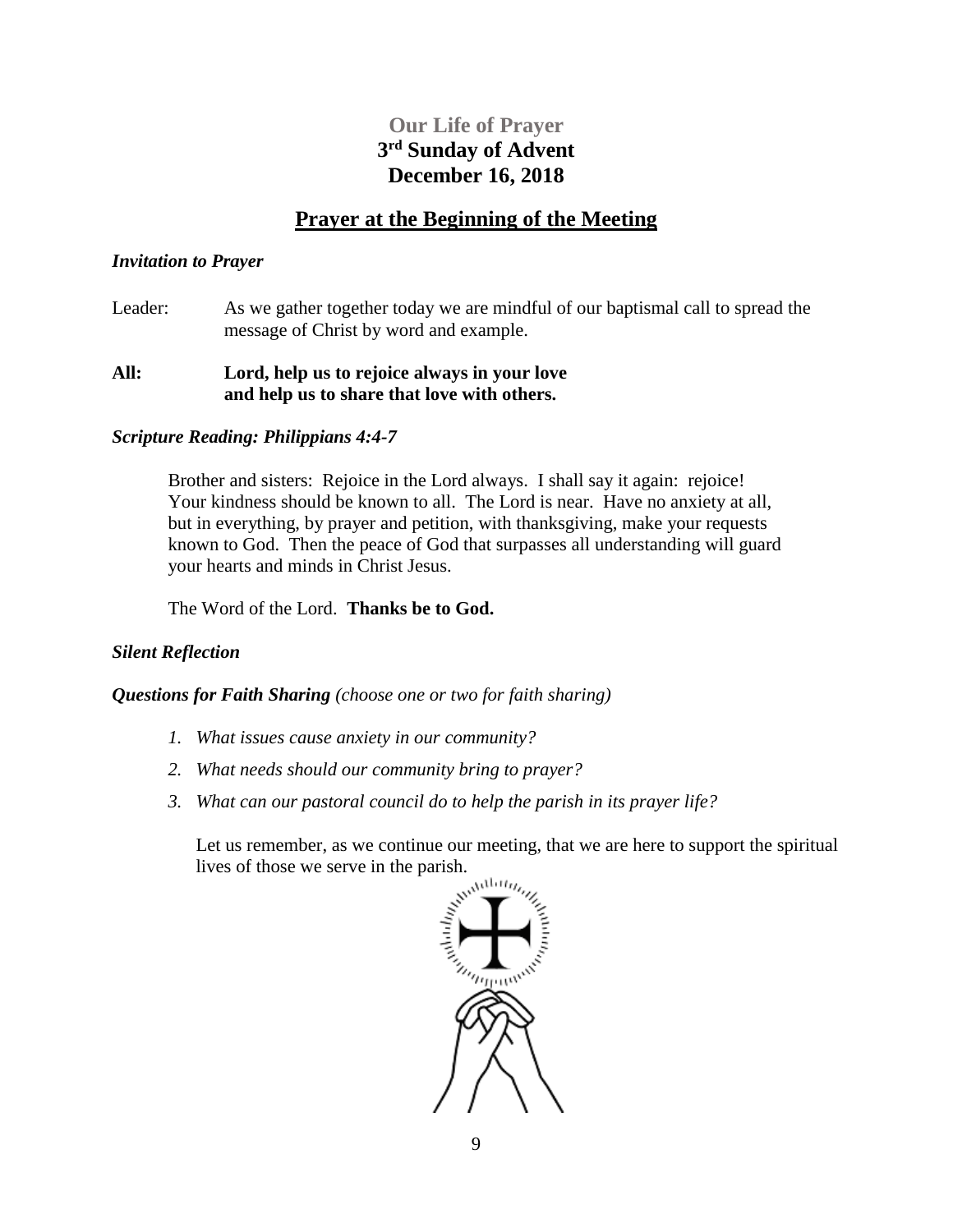## **Our Life of Prayer 3 rd Sunday of Advent December 16, 2018**

## **Prayer at the Beginning of the Meeting**

#### *Invitation to Prayer*

Leader: As we gather together today we are mindful of our baptismal call to spread the message of Christ by word and example.

#### **All: Lord, help us to rejoice always in your love and help us to share that love with others.**

#### *Scripture Reading: Philippians 4:4-7*

Brother and sisters: Rejoice in the Lord always. I shall say it again: rejoice! Your kindness should be known to all. The Lord is near. Have no anxiety at all, but in everything, by prayer and petition, with thanksgiving, make your requests known to God. Then the peace of God that surpasses all understanding will guard your hearts and minds in Christ Jesus.

The Word of the Lord. **Thanks be to God.**

#### *Silent Reflection*

*Questions for Faith Sharing (choose one or two for faith sharing)*

- *1. What issues cause anxiety in our community?*
- *2. What needs should our community bring to prayer?*
- *3. What can our pastoral council do to help the parish in its prayer life?*

Let us remember, as we continue our meeting, that we are here to support the spiritual lives of those we serve in the parish.

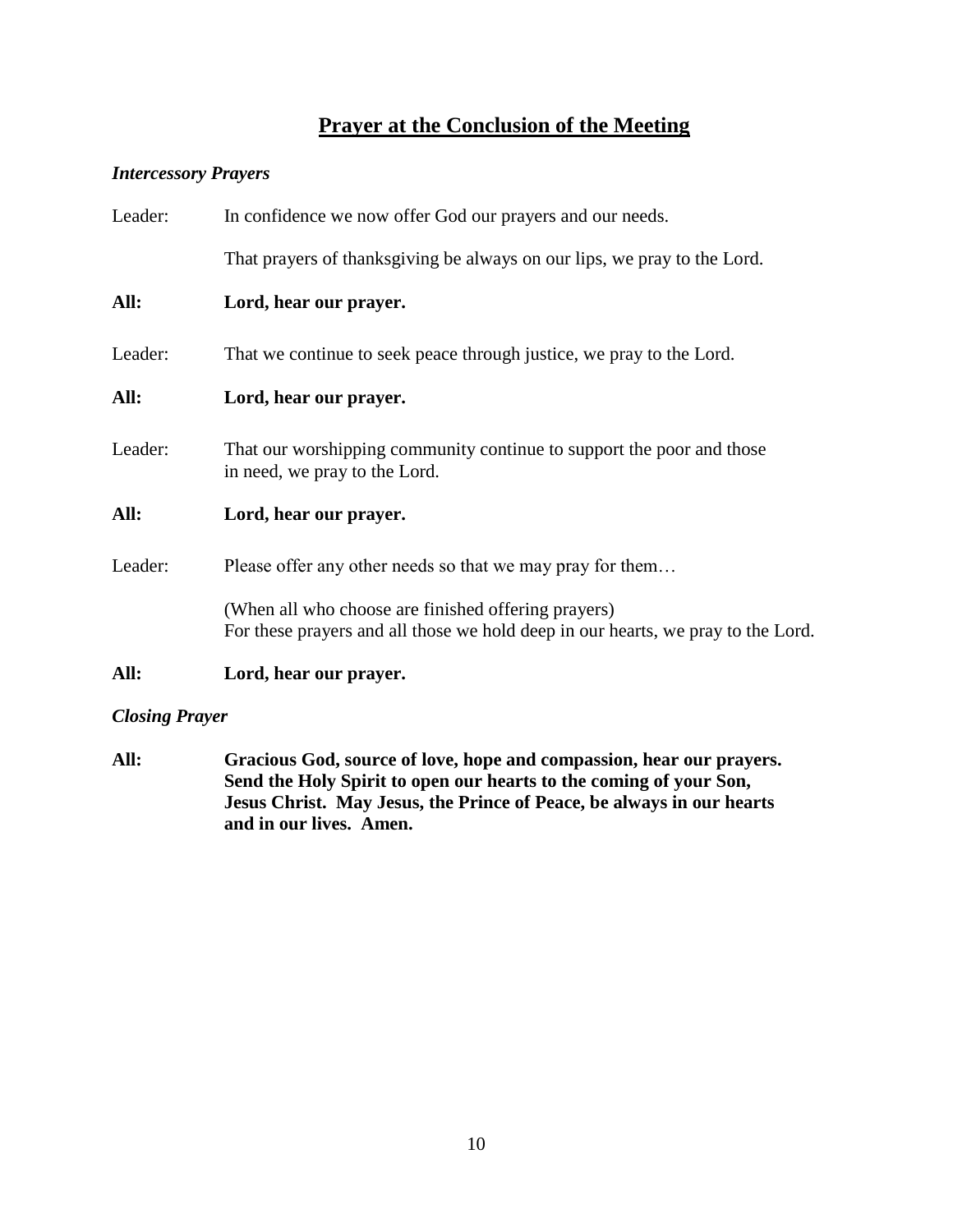## **Prayer at the Conclusion of the Meeting**

#### *Intercessory Prayers*

| Leader: | In confidence we now offer God our prayers and our needs.                                                                               |
|---------|-----------------------------------------------------------------------------------------------------------------------------------------|
|         | That prayers of thanksgiving be always on our lips, we pray to the Lord.                                                                |
| All:    | Lord, hear our prayer.                                                                                                                  |
| Leader: | That we continue to seek peace through justice, we pray to the Lord.                                                                    |
| All:    | Lord, hear our prayer.                                                                                                                  |
| Leader: | That our worshipping community continue to support the poor and those<br>in need, we pray to the Lord.                                  |
| All:    | Lord, hear our prayer.                                                                                                                  |
| Leader: | Please offer any other needs so that we may pray for them                                                                               |
|         | (When all who choose are finished offering prayers)<br>For these prayers and all those we hold deep in our hearts, we pray to the Lord. |
| All:    | Lord, hear our prayer.                                                                                                                  |
|         |                                                                                                                                         |

#### *Closing Prayer*

**All: Gracious God, source of love, hope and compassion, hear our prayers. Send the Holy Spirit to open our hearts to the coming of your Son, Jesus Christ. May Jesus, the Prince of Peace, be always in our hearts and in our lives. Amen.**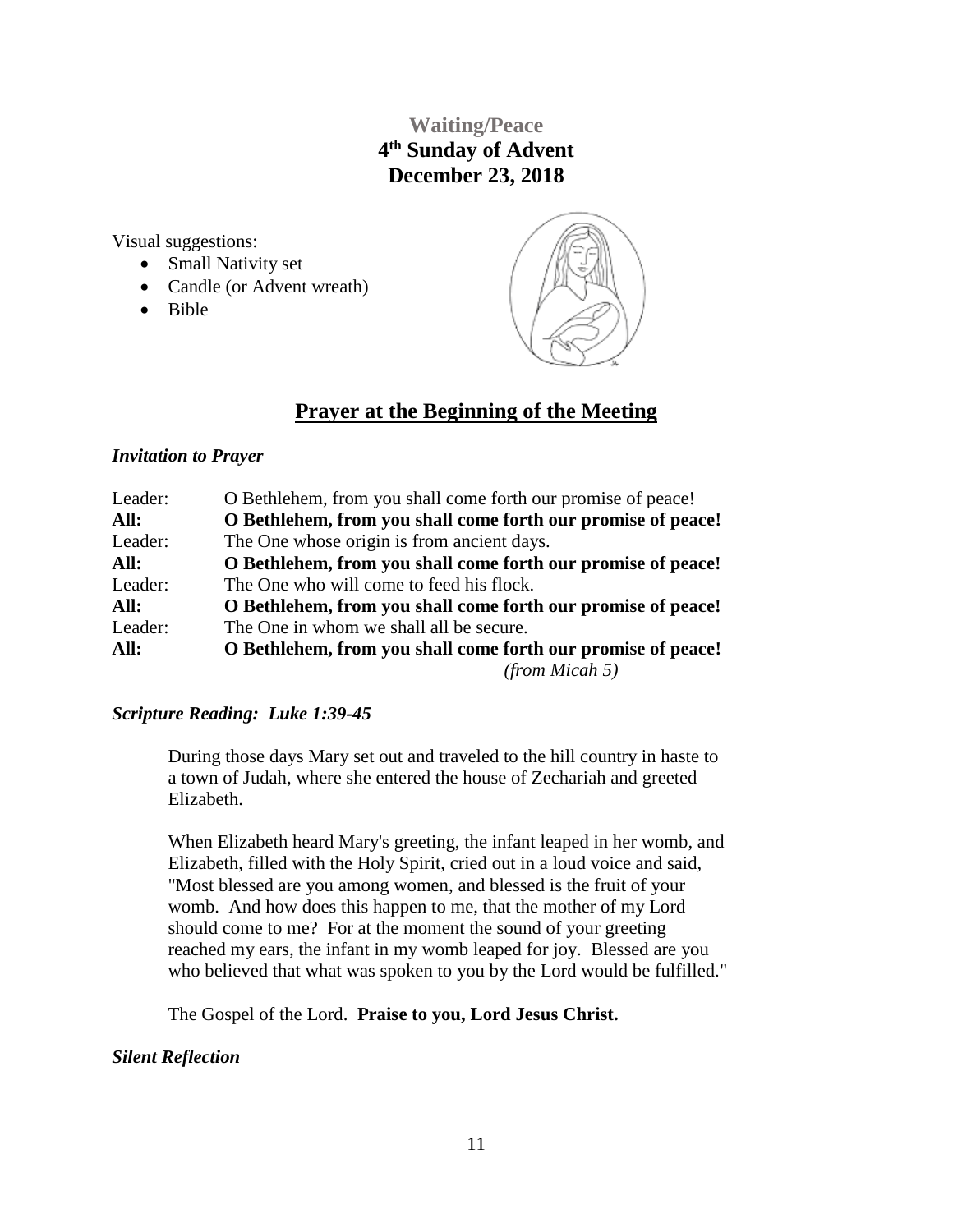## **Waiting/Peace 4 th Sunday of Advent December 23, 2018**

Visual suggestions:

- Small Nativity set
- Candle (or Advent wreath)
- Bible



## **Prayer at the Beginning of the Meeting**

#### *Invitation to Prayer*

| Leader: | O Bethlehem, from you shall come forth our promise of peace! |
|---------|--------------------------------------------------------------|
| All:    | O Bethlehem, from you shall come forth our promise of peace! |
| Leader: | The One whose origin is from ancient days.                   |
| All:    | O Bethlehem, from you shall come forth our promise of peace! |
| Leader: | The One who will come to feed his flock.                     |
| All:    | O Bethlehem, from you shall come forth our promise of peace! |
| Leader: | The One in whom we shall all be secure.                      |
| All:    | O Bethlehem, from you shall come forth our promise of peace! |
|         | (from Micah 5)                                               |

#### *Scripture Reading: Luke 1:39-45*

During those days Mary set out and traveled to the hill country in haste to a town of Judah, where she entered the house of Zechariah and greeted Elizabeth.

When Elizabeth heard Mary's greeting, the infant leaped in her womb, and Elizabeth, filled with the Holy Spirit, cried out in a loud voice and said, "Most blessed are you among women, and blessed is the fruit of your womb. And how does this happen to me, that the mother of my Lord should come to me? For at the moment the sound of your greeting reached my ears, the infant in my womb leaped for joy. Blessed are you who believed that what was spoken to you by the Lord would be fulfilled."

The Gospel of the Lord. **Praise to you, Lord Jesus Christ.**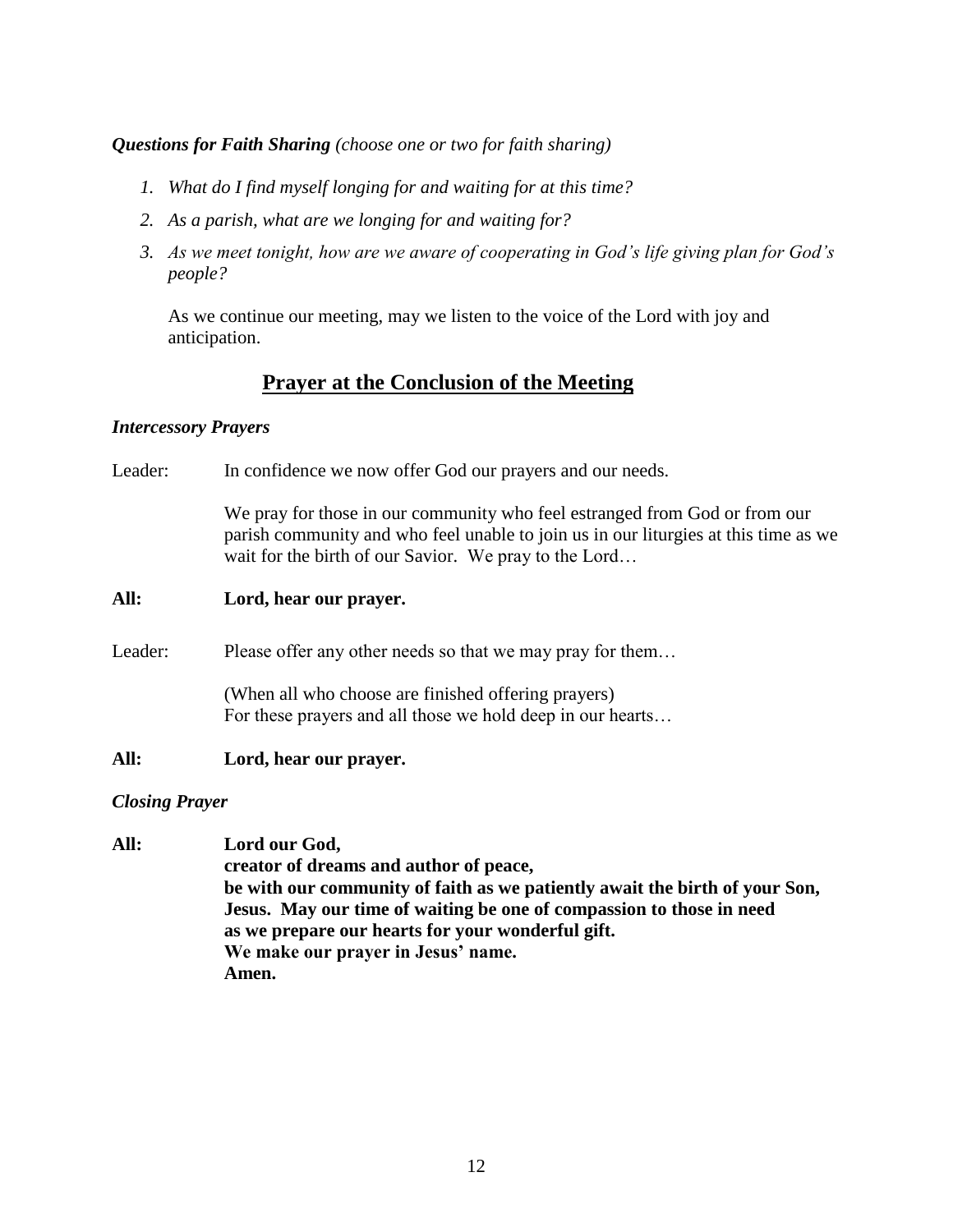*Questions for Faith Sharing (choose one or two for faith sharing)*

- *1. What do I find myself longing for and waiting for at this time?*
- *2. As a parish, what are we longing for and waiting for?*
- *3. As we meet tonight, how are we aware of cooperating in God's life giving plan for God's people?*

As we continue our meeting, may we listen to the voice of the Lord with joy and anticipation.

## **Prayer at the Conclusion of the Meeting**

#### *Intercessory Prayers*

- Leader: In confidence we now offer God our prayers and our needs. We pray for those in our community who feel estranged from God or from our parish community and who feel unable to join us in our liturgies at this time as we wait for the birth of our Savior. We pray to the Lord… **All: Lord, hear our prayer.** Leader: Please offer any other needs so that we may pray for them... (When all who choose are finished offering prayers) For these prayers and all those we hold deep in our hearts…
- **All: Lord, hear our prayer.**

#### *Closing Prayer*

**All: Lord our God, creator of dreams and author of peace, be with our community of faith as we patiently await the birth of your Son, Jesus. May our time of waiting be one of compassion to those in need as we prepare our hearts for your wonderful gift. We make our prayer in Jesus' name. Amen.**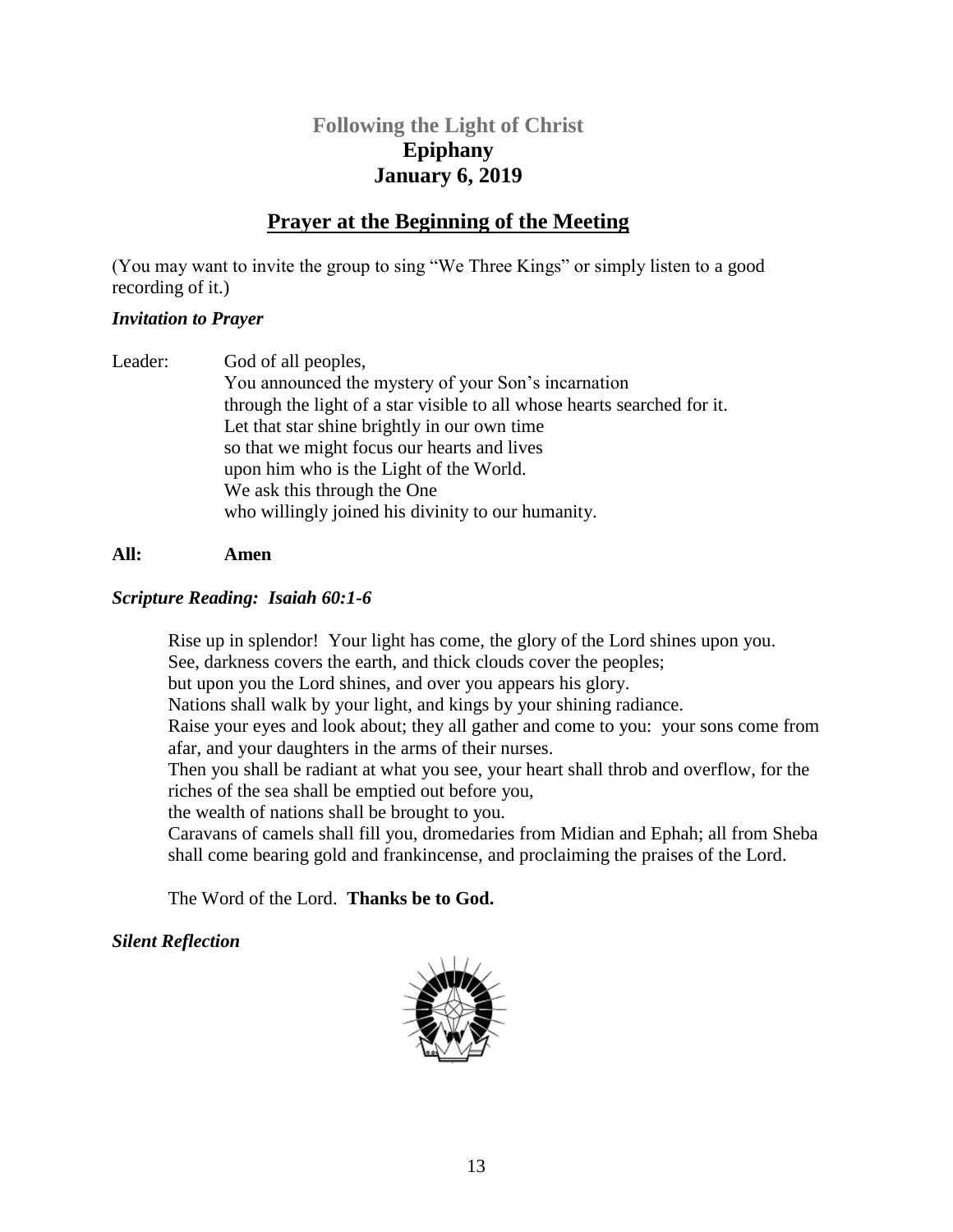## **Following the Light of Christ Epiphany January 6, 2019**

## **Prayer at the Beginning of the Meeting**

(You may want to invite the group to sing "We Three Kings" or simply listen to a good recording of it.)

#### *Invitation to Prayer*

| Leader: | God of all peoples,                                                      |
|---------|--------------------------------------------------------------------------|
|         | You announced the mystery of your Son's incarnation                      |
|         | through the light of a star visible to all whose hearts searched for it. |
|         | Let that star shine brightly in our own time                             |
|         | so that we might focus our hearts and lives                              |
|         | upon him who is the Light of the World.                                  |
|         | We ask this through the One                                              |
|         | who willingly joined his divinity to our humanity.                       |

#### **All: Amen**

#### *Scripture Reading: Isaiah 60:1-6*

Rise up in splendor! Your light has come, the glory of the Lord shines upon you.

See, darkness covers the earth, and thick clouds cover the peoples;

but upon you the Lord shines, and over you appears his glory.

Nations shall walk by your light, and kings by your shining radiance.

Raise your eyes and look about; they all gather and come to you: your sons come from afar, and your daughters in the arms of their nurses.

Then you shall be radiant at what you see, your heart shall throb and overflow, for the riches of the sea shall be emptied out before you,

the wealth of nations shall be brought to you.

Caravans of camels shall fill you, dromedaries from Midian and Ephah; all from Sheba shall come bearing gold and frankincense, and proclaiming the praises of the Lord.

The Word of the Lord. **Thanks be to God.**

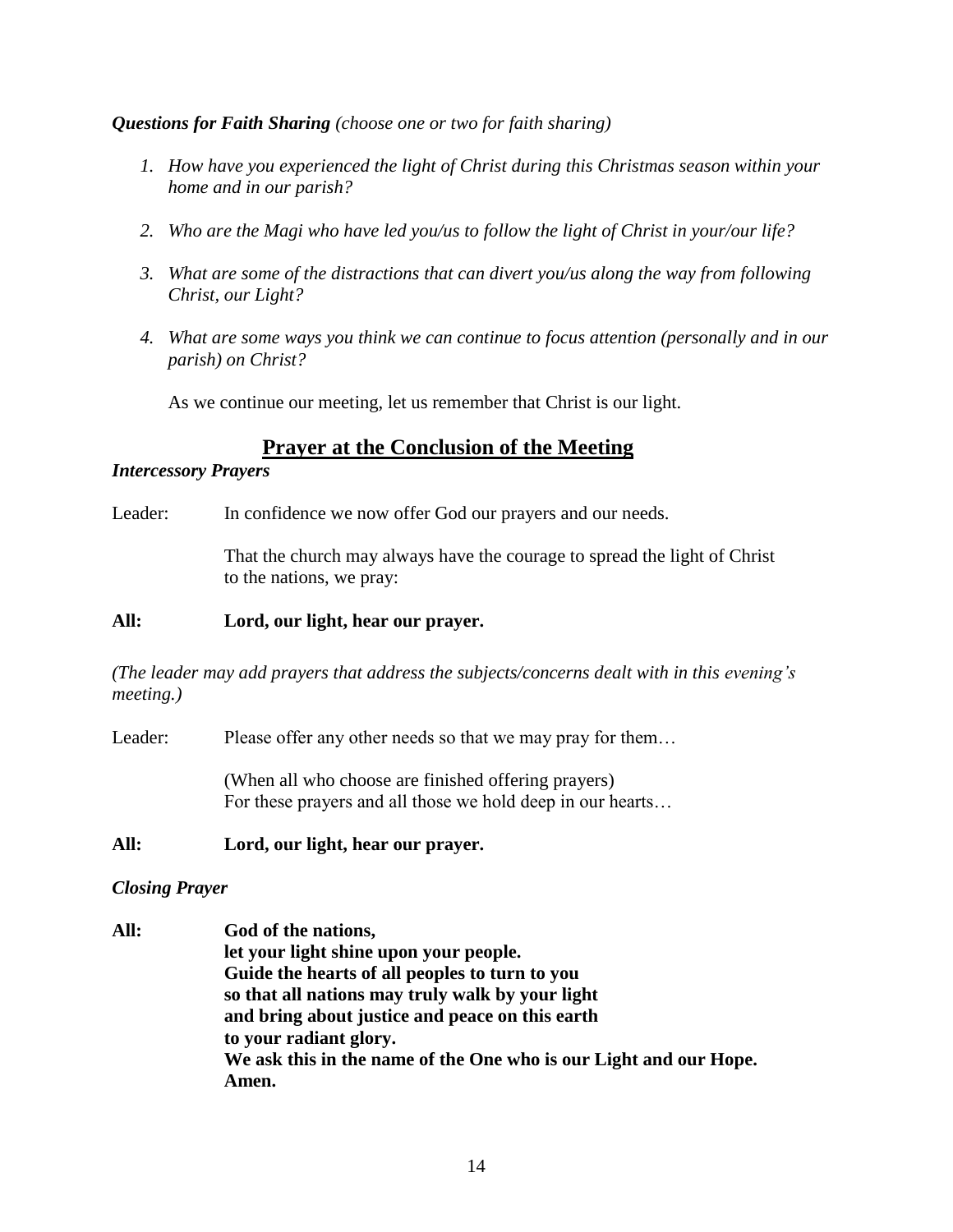*Questions for Faith Sharing (choose one or two for faith sharing)*

- *1. How have you experienced the light of Christ during this Christmas season within your home and in our parish?*
- *2. Who are the Magi who have led you/us to follow the light of Christ in your/our life?*
- *3. What are some of the distractions that can divert you/us along the way from following Christ, our Light?*
- *4. What are some ways you think we can continue to focus attention (personally and in our parish) on Christ?*

As we continue our meeting, let us remember that Christ is our light.

## **Prayer at the Conclusion of the Meeting**

#### *Intercessory Prayers*

Leader: In confidence we now offer God our prayers and our needs.

That the church may always have the courage to spread the light of Christ to the nations, we pray:

#### **All: Lord, our light, hear our prayer.**

*(The leader may add prayers that address the subjects/concerns dealt with in this evening's meeting.)*

Leader: Please offer any other needs so that we may pray for them...

(When all who choose are finished offering prayers) For these prayers and all those we hold deep in our hearts…

**All: Lord, our light, hear our prayer.**

#### *Closing Prayer*

**All: God of the nations, let your light shine upon your people. Guide the hearts of all peoples to turn to you so that all nations may truly walk by your light and bring about justice and peace on this earth to your radiant glory. We ask this in the name of the One who is our Light and our Hope. Amen.**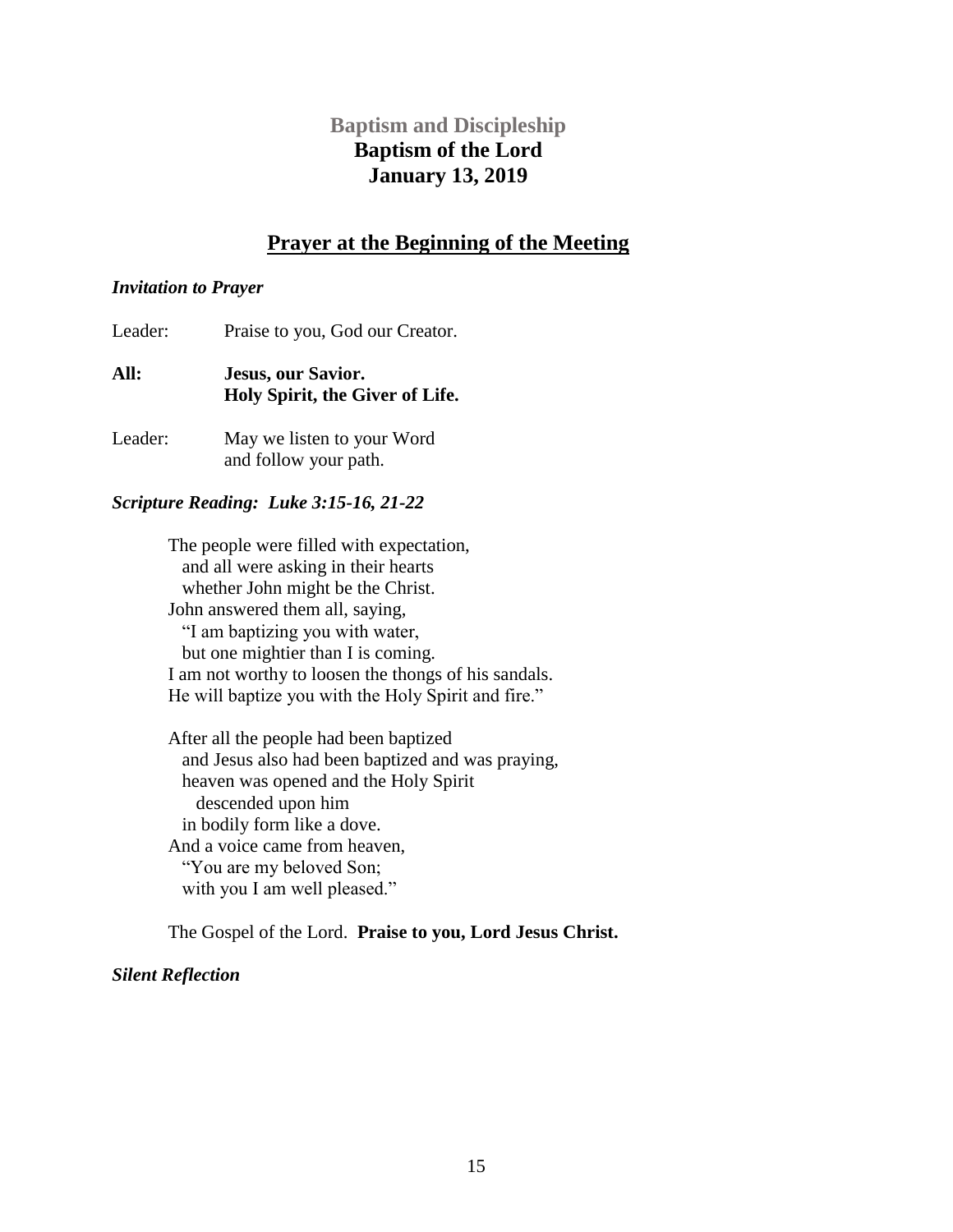## **Baptism and Discipleship Baptism of the Lord January 13, 2019**

## **Prayer at the Beginning of the Meeting**

#### *Invitation to Prayer*

Leader: Praise to you, God our Creator. **All: Jesus, our Savior. Holy Spirit, the Giver of Life.** Leader: May we listen to your Word and follow your path.

#### *Scripture Reading: Luke 3:15-16, 21-22*

The people were filled with expectation, and all were asking in their hearts whether John might be the Christ. John answered them all, saying, "I am baptizing you with water, but one mightier than I is coming. I am not worthy to loosen the thongs of his sandals. He will baptize you with the Holy Spirit and fire."

After all the people had been baptized and Jesus also had been baptized and was praying, heaven was opened and the Holy Spirit descended upon him in bodily form like a dove. And a voice came from heaven, "You are my beloved Son; with you I am well pleased."

The Gospel of the Lord. **Praise to you, Lord Jesus Christ.**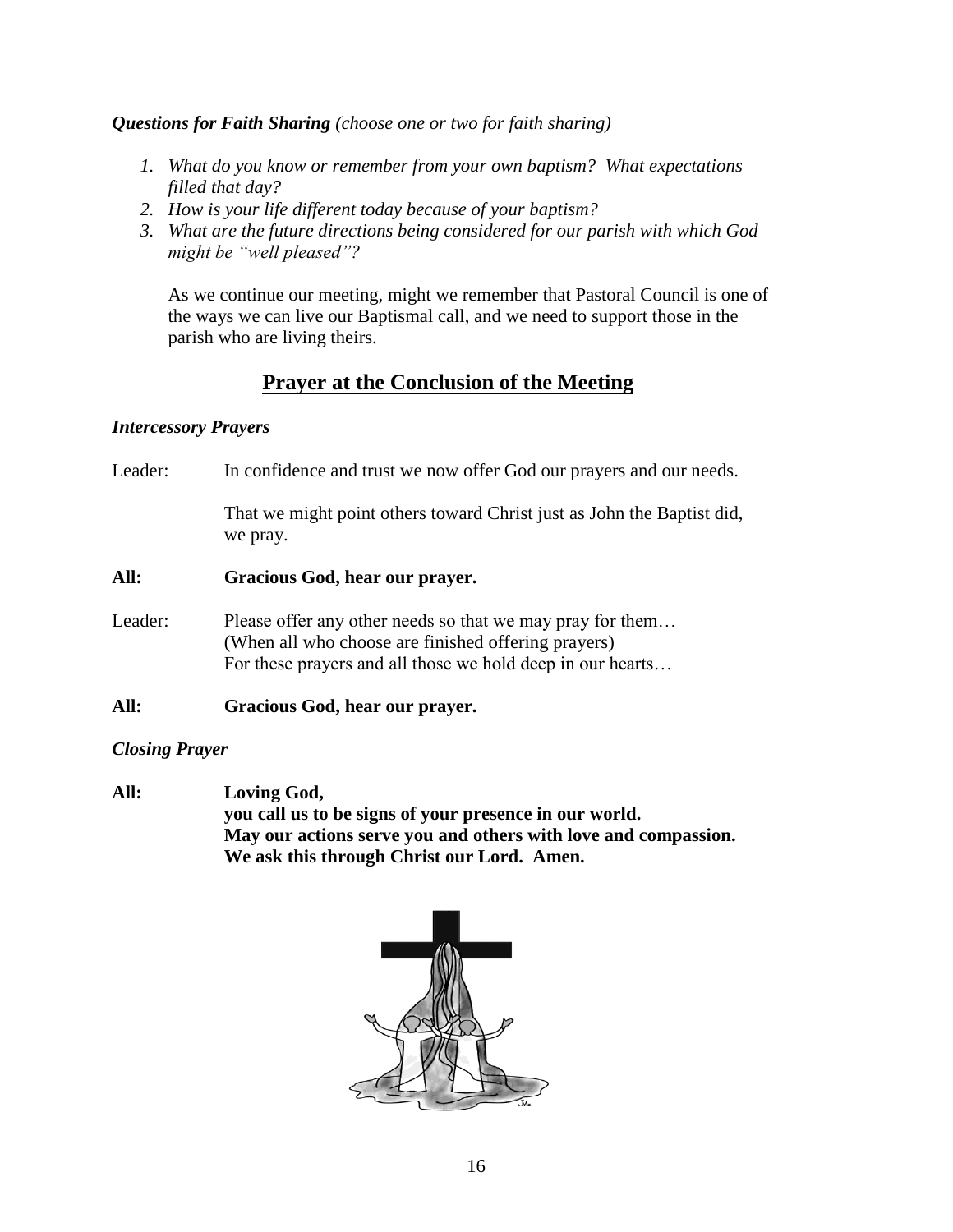#### *Questions for Faith Sharing (choose one or two for faith sharing)*

- *1. What do you know or remember from your own baptism? What expectations filled that day?*
- *2. How is your life different today because of your baptism?*
- *3. What are the future directions being considered for our parish with which God might be "well pleased"?*

As we continue our meeting, might we remember that Pastoral Council is one of the ways we can live our Baptismal call, and we need to support those in the parish who are living theirs.

## **Prayer at the Conclusion of the Meeting**

#### *Intercessory Prayers*

|                 | (When all who choose are finished offering prayers)<br>For these prayers and all those we hold deep in our hearts |
|-----------------|-------------------------------------------------------------------------------------------------------------------|
| All:<br>Leader: | Gracious God, hear our prayer.<br>Please offer any other needs so that we may pray for them                       |
|                 | That we might point others toward Christ just as John the Baptist did,<br>we pray.                                |
| Leader:         | In confidence and trust we now offer God our prayers and our needs.                                               |

#### *Closing Prayer*

**All: Loving God, you call us to be signs of your presence in our world. May our actions serve you and others with love and compassion. We ask this through Christ our Lord. Amen.**

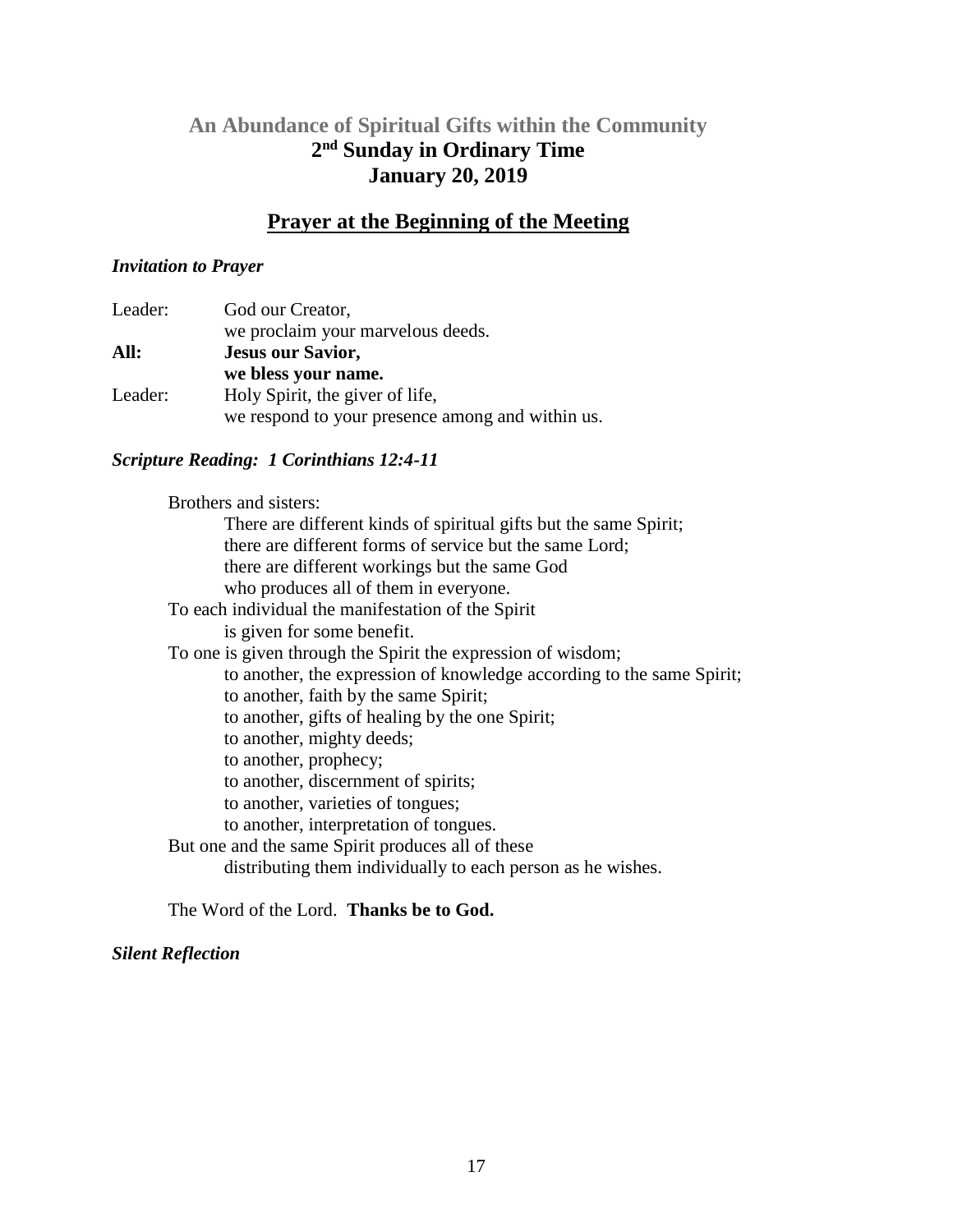## **An Abundance of Spiritual Gifts within the Community 2 nd Sunday in Ordinary Time January 20, 2019**

## **Prayer at the Beginning of the Meeting**

#### *Invitation to Prayer*

| Leader: | God our Creator,                                 |
|---------|--------------------------------------------------|
|         | we proclaim your marvelous deeds.                |
| All:    | <b>Jesus our Savior,</b>                         |
|         | we bless your name.                              |
| Leader: | Holy Spirit, the giver of life,                  |
|         | we respond to your presence among and within us. |

#### *Scripture Reading: 1 Corinthians 12:4-11*

Brothers and sisters: There are different kinds of spiritual gifts but the same Spirit; there are different forms of service but the same Lord; there are different workings but the same God who produces all of them in everyone. To each individual the manifestation of the Spirit is given for some benefit. To one is given through the Spirit the expression of wisdom; to another, the expression of knowledge according to the same Spirit; to another, faith by the same Spirit; to another, gifts of healing by the one Spirit; to another, mighty deeds; to another, prophecy; to another, discernment of spirits; to another, varieties of tongues; to another, interpretation of tongues. But one and the same Spirit produces all of these distributing them individually to each person as he wishes.

The Word of the Lord. **Thanks be to God.**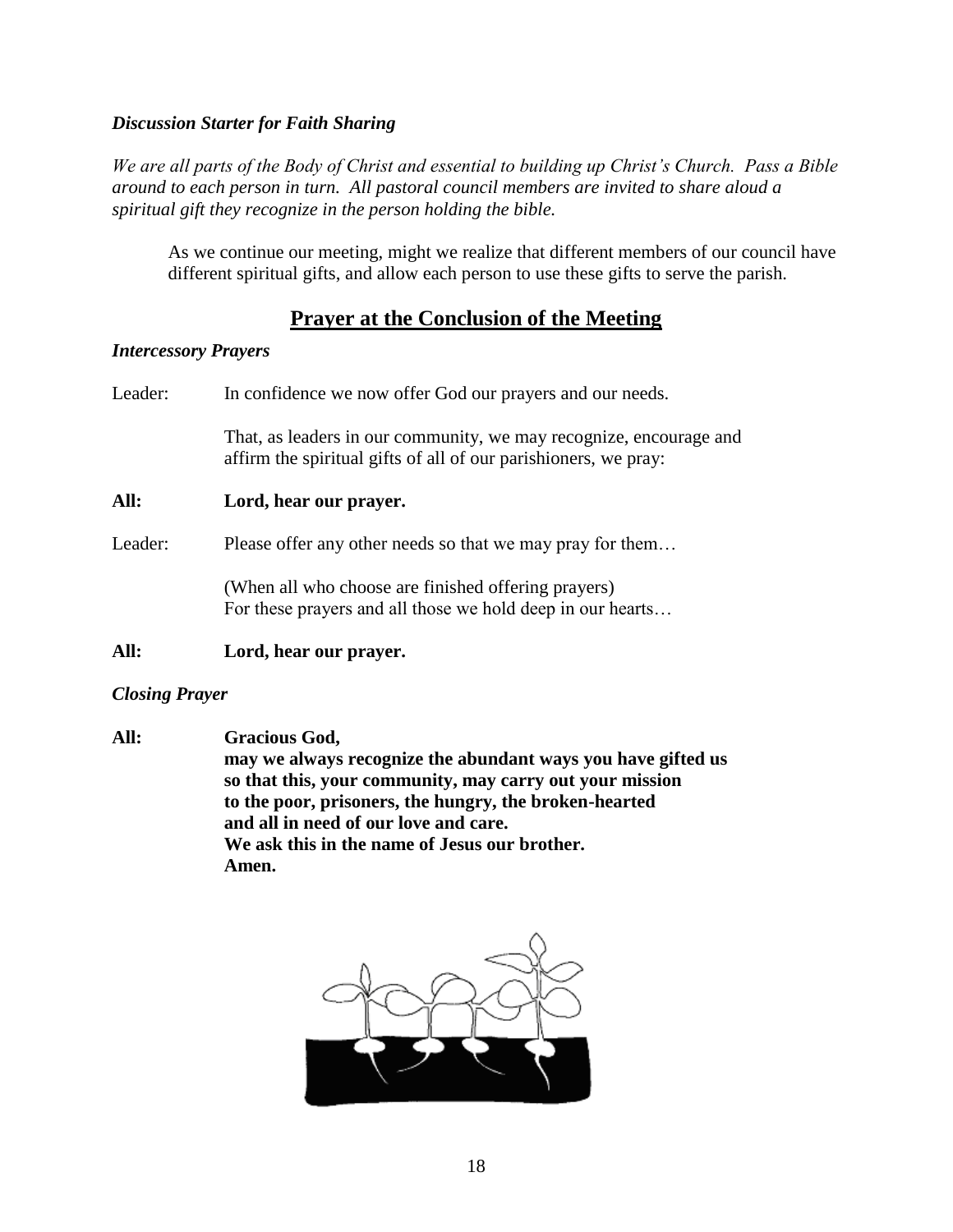#### *Discussion Starter for Faith Sharing*

*We are all parts of the Body of Christ and essential to building up Christ's Church. Pass a Bible around to each person in turn. All pastoral council members are invited to share aloud a spiritual gift they recognize in the person holding the bible.* 

As we continue our meeting, might we realize that different members of our council have different spiritual gifts, and allow each person to use these gifts to serve the parish.

## **Prayer at the Conclusion of the Meeting**

#### *Intercessory Prayers*

| Leader: | In confidence we now offer God our prayers and our needs.                                                                             |
|---------|---------------------------------------------------------------------------------------------------------------------------------------|
|         | That, as leaders in our community, we may recognize, encourage and<br>affirm the spiritual gifts of all of our parishioners, we pray: |
| All:    | Lord, hear our prayer.                                                                                                                |
| Leader: | Please offer any other needs so that we may pray for them                                                                             |
|         | (When all who choose are finished offering prayers)<br>For these prayers and all those we hold deep in our hearts                     |
| A 11.   | Lord hoor our nrover                                                                                                                  |

#### **All: Lord, hear our prayer.**

#### *Closing Prayer*

**All: Gracious God, may we always recognize the abundant ways you have gifted us so that this, your community, may carry out your mission to the poor, prisoners, the hungry, the broken-hearted and all in need of our love and care. We ask this in the name of Jesus our brother. Amen.**

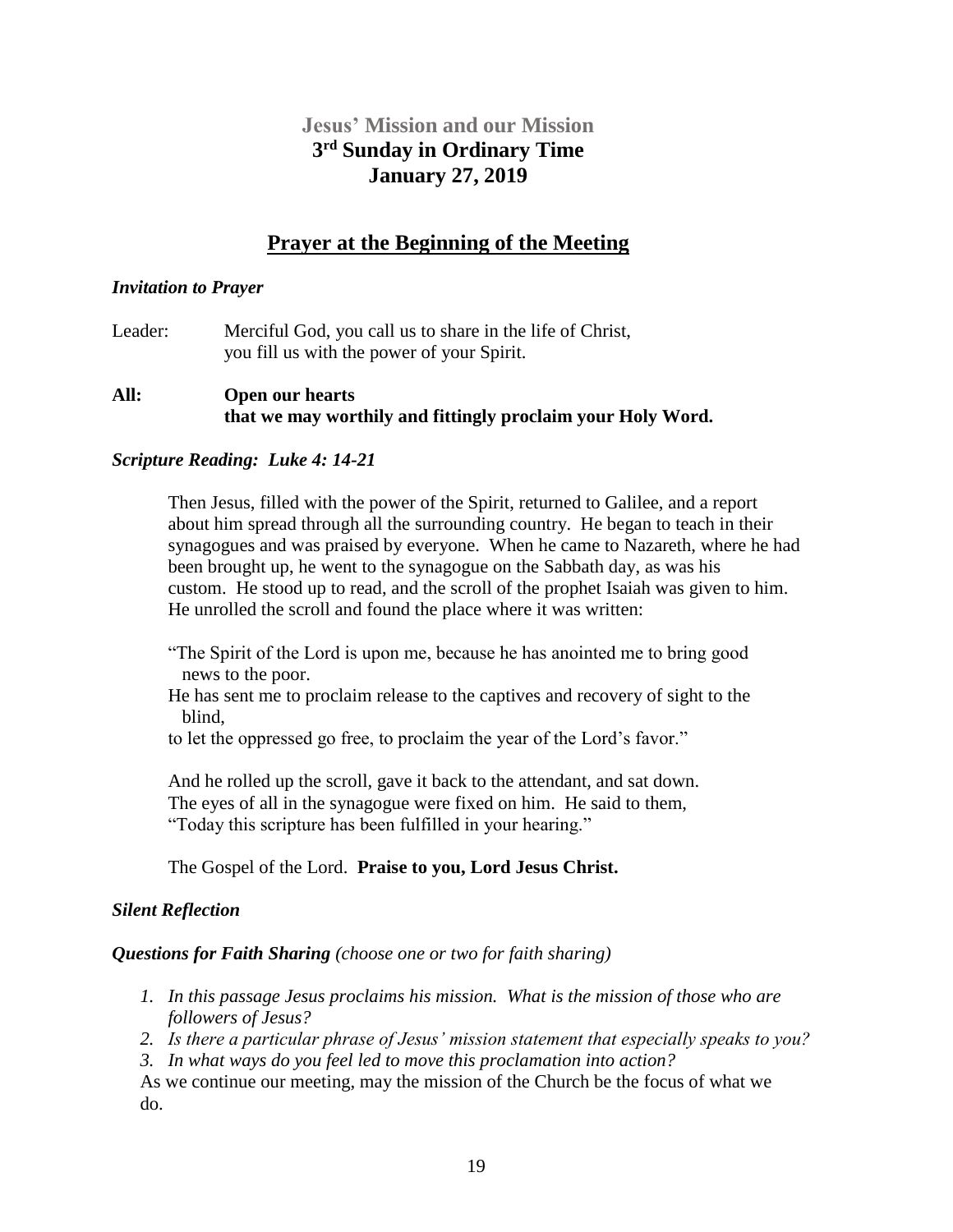## **Jesus' Mission and our Mission 3 rd Sunday in Ordinary Time January 27, 2019**

## **Prayer at the Beginning of the Meeting**

#### *Invitation to Prayer*

| Leader: | Merciful God, you call us to share in the life of Christ, |
|---------|-----------------------------------------------------------|
|         | you fill us with the power of your Spirit.                |

#### **All: Open our hearts that we may worthily and fittingly proclaim your Holy Word.**

#### *Scripture Reading: Luke 4: 14-21*

Then Jesus, filled with the power of the Spirit, returned to Galilee, and a report about him spread through all the surrounding country. He began to teach in their synagogues and was praised by everyone. When he came to Nazareth, where he had been brought up, he went to the synagogue on the Sabbath day, as was his custom. He stood up to read, and the scroll of the prophet Isaiah was given to him. He unrolled the scroll and found the place where it was written:

- "The Spirit of the Lord is upon me, because he has anointed me to bring good news to the poor.
- He has sent me to proclaim release to the captives and recovery of sight to the blind,
- to let the oppressed go free, to proclaim the year of the Lord's favor."

And he rolled up the scroll, gave it back to the attendant, and sat down. The eyes of all in the synagogue were fixed on him. He said to them, "Today this scripture has been fulfilled in your hearing."

The Gospel of the Lord. **Praise to you, Lord Jesus Christ.**

#### *Silent Reflection*

#### *Questions for Faith Sharing (choose one or two for faith sharing)*

- *1. In this passage Jesus proclaims his mission. What is the mission of those who are followers of Jesus?*
- *2. Is there a particular phrase of Jesus' mission statement that especially speaks to you?*
- *3. In what ways do you feel led to move this proclamation into action?*

As we continue our meeting, may the mission of the Church be the focus of what we do.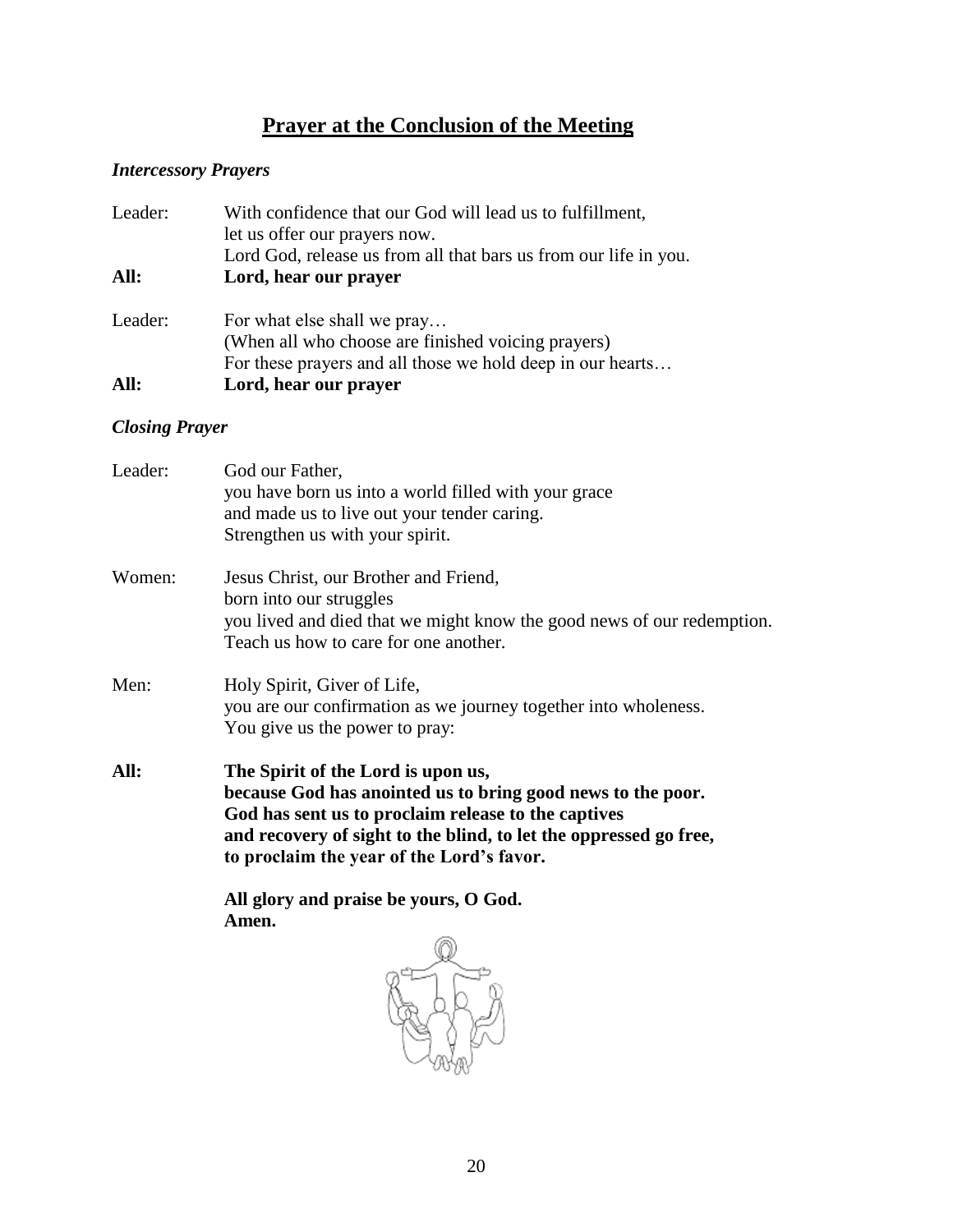## **Prayer at the Conclusion of the Meeting**

## *Intercessory Prayers*

| Leader: | With confidence that our God will lead us to fulfillment,<br>let us offer our prayers now. |
|---------|--------------------------------------------------------------------------------------------|
| All:    | Lord God, release us from all that bars us from our life in you.<br>Lord, hear our prayer  |
| Leader: | For what else shall we pray<br>(When all who choose are finished voicing prayers)          |
| All:    | For these prayers and all those we hold deep in our hearts<br>Lord, hear our prayer        |

## *Closing Prayer*

| Leader: | God our Father,<br>you have born us into a world filled with your grace<br>and made us to live out your tender caring.<br>Strengthen us with your spirit.                                                                                                                  |
|---------|----------------------------------------------------------------------------------------------------------------------------------------------------------------------------------------------------------------------------------------------------------------------------|
| Women:  | Jesus Christ, our Brother and Friend,<br>born into our struggles<br>you lived and died that we might know the good news of our redemption.<br>Teach us how to care for one another.                                                                                        |
| Men:    | Holy Spirit, Giver of Life,<br>you are our confirmation as we journey together into wholeness.<br>You give us the power to pray:                                                                                                                                           |
| All:    | The Spirit of the Lord is upon us,<br>because God has anointed us to bring good news to the poor.<br>God has sent us to proclaim release to the captives<br>and recovery of sight to the blind, to let the oppressed go free,<br>to proclaim the year of the Lord's favor. |
|         | All glory and praise be yours, O God.<br>Amen.                                                                                                                                                                                                                             |
|         |                                                                                                                                                                                                                                                                            |

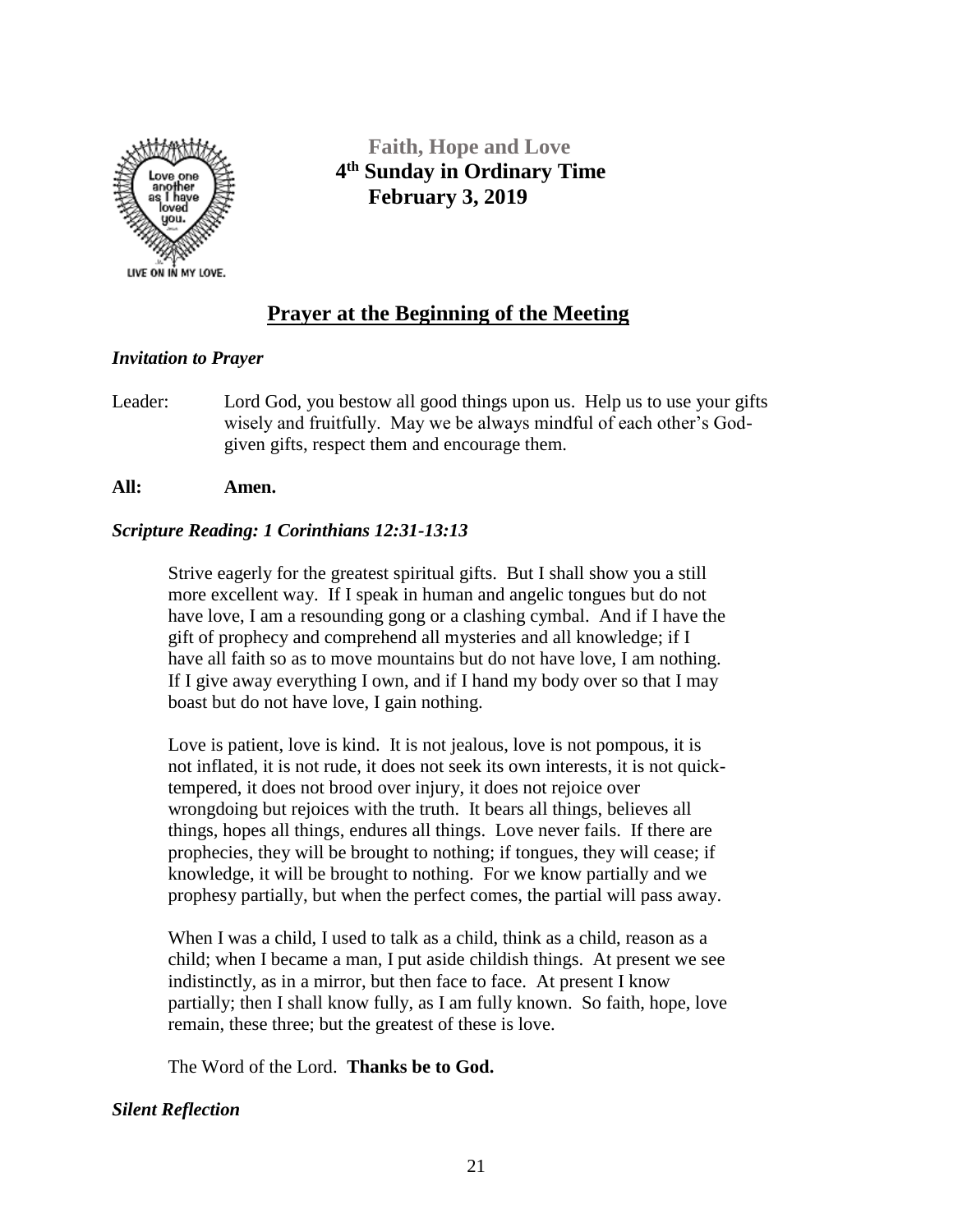

 **Faith, Hope and Love 4 th Sunday in Ordinary Time February 3, 2019**

## **Prayer at the Beginning of the Meeting**

#### *Invitation to Prayer*

Leader: Lord God, you bestow all good things upon us. Help us to use your gifts wisely and fruitfully. May we be always mindful of each other's Godgiven gifts, respect them and encourage them.

**All: Amen.**

#### *Scripture Reading: 1 Corinthians 12:31-13:13*

Strive eagerly for the greatest spiritual gifts. But I shall show you a still more excellent way. If I speak in human and angelic tongues but do not have love, I am a resounding gong or a clashing cymbal. And if I have the gift of prophecy and comprehend all mysteries and all knowledge; if I have all faith so as to move mountains but do not have love, I am nothing. If I give away everything I own, and if I hand my body over so that I may boast but do not have love, I gain nothing.

Love is patient, love is kind. It is not jealous, love is not pompous, it is not inflated, it is not rude, it does not seek its own interests, it is not quicktempered, it does not brood over injury, it does not rejoice over wrongdoing but rejoices with the truth. It bears all things, believes all things, hopes all things, endures all things. Love never fails. If there are prophecies, they will be brought to nothing; if tongues, they will cease; if knowledge, it will be brought to nothing. For we know partially and we prophesy partially, but when the perfect comes, the partial will pass away.

When I was a child, I used to talk as a child, think as a child, reason as a child; when I became a man, I put aside childish things. At present we see indistinctly, as in a mirror, but then face to face. At present I know partially; then I shall know fully, as I am fully known. So faith, hope, love remain, these three; but the greatest of these is love.

The Word of the Lord. **Thanks be to God.**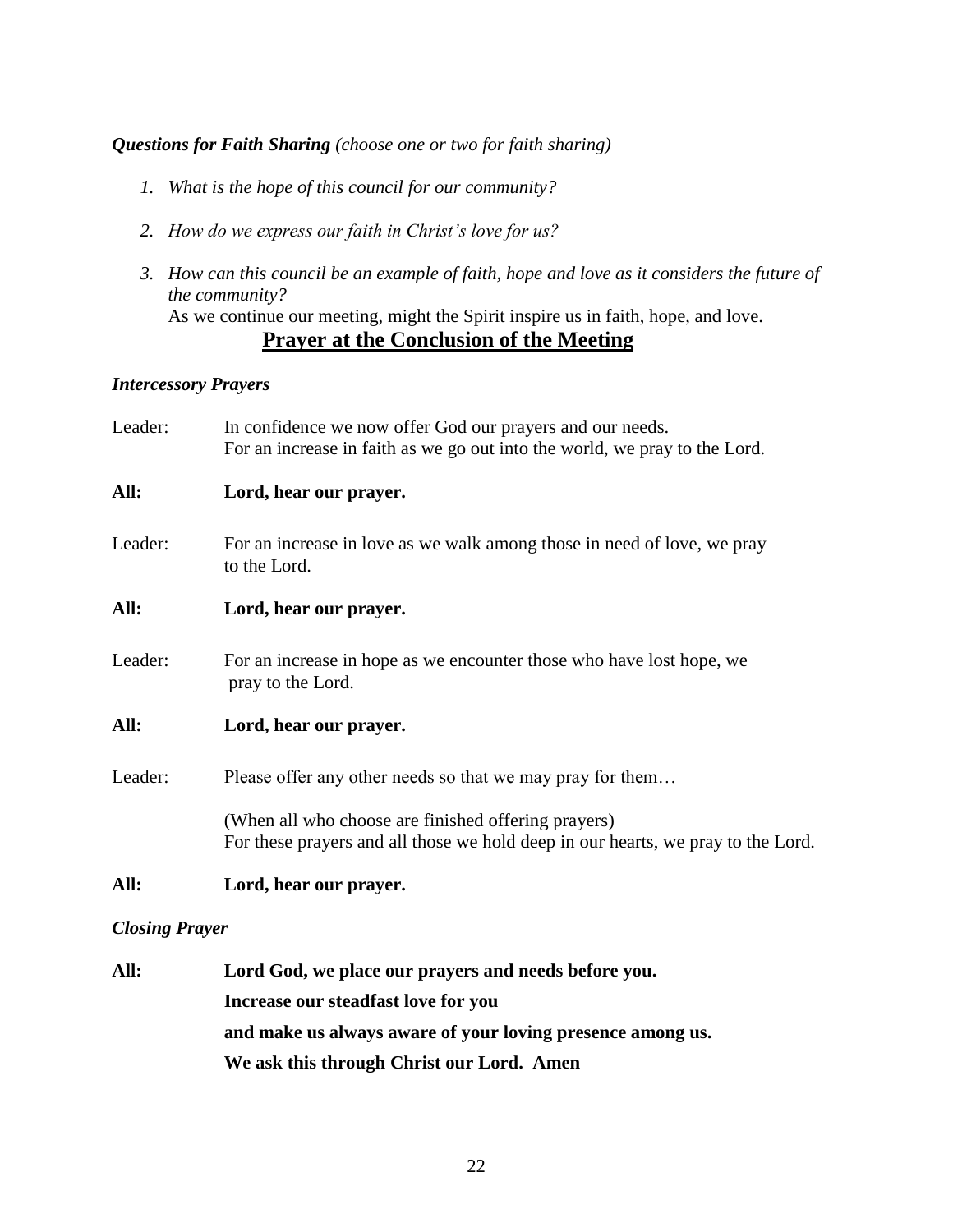#### *Questions for Faith Sharing (choose one or two for faith sharing)*

- *1. What is the hope of this council for our community?*
- *2. How do we express our faith in Christ's love for us?*
- *3. How can this council be an example of faith, hope and love as it considers the future of the community?*

```
As we continue our meeting, might the Spirit inspire us in faith, hope, and love.
Prayer at the Conclusion of the Meeting
```
#### *Intercessory Prayers*

| Leader:               | In confidence we now offer God our prayers and our needs.<br>For an increase in faith as we go out into the world, we pray to the Lord. |
|-----------------------|-----------------------------------------------------------------------------------------------------------------------------------------|
| All:                  | Lord, hear our prayer.                                                                                                                  |
| Leader:               | For an increase in love as we walk among those in need of love, we pray<br>to the Lord.                                                 |
| All:                  | Lord, hear our prayer.                                                                                                                  |
| Leader:               | For an increase in hope as we encounter those who have lost hope, we<br>pray to the Lord.                                               |
| All:                  | Lord, hear our prayer.                                                                                                                  |
| Leader:               | Please offer any other needs so that we may pray for them                                                                               |
|                       | (When all who choose are finished offering prayers)<br>For these prayers and all those we hold deep in our hearts, we pray to the Lord. |
| All:                  | Lord, hear our prayer.                                                                                                                  |
| <b>Closing Prayer</b> |                                                                                                                                         |
| All:                  | Lord God, we place our prayers and needs before you.                                                                                    |

| AII: | Lord God, we place our prayers and needs before you.       |
|------|------------------------------------------------------------|
|      | Increase our steadfast love for you                        |
|      | and make us always aware of your loving presence among us. |
|      | We ask this through Christ our Lord. Amen                  |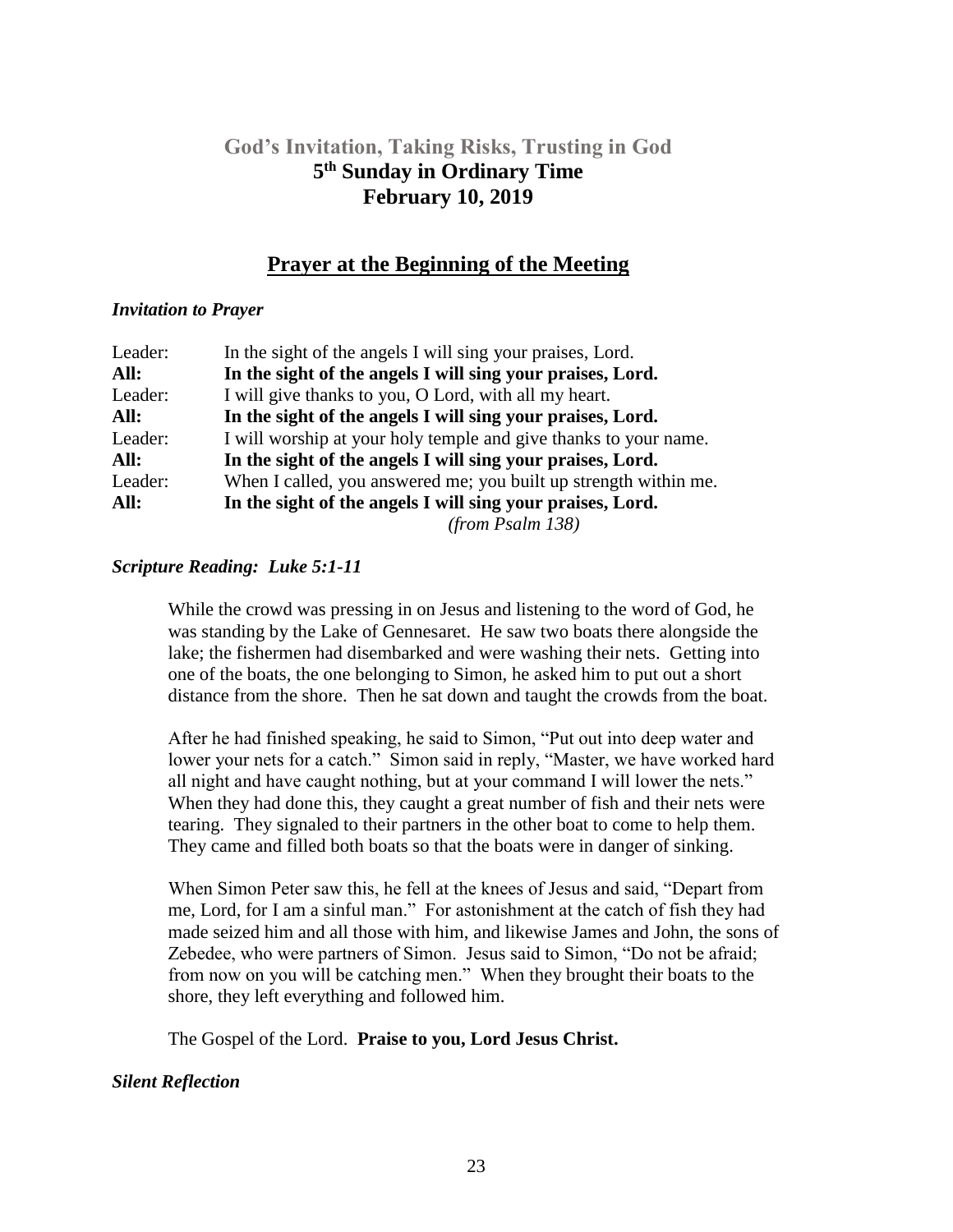## **God's Invitation, Taking Risks, Trusting in God 5 th Sunday in Ordinary Time February 10, 2019**

## **Prayer at the Beginning of the Meeting**

#### *Invitation to Prayer*

| Leader: | In the sight of the angels I will sing your praises, Lord.       |
|---------|------------------------------------------------------------------|
| All:    | In the sight of the angels I will sing your praises, Lord.       |
| Leader: | I will give thanks to you, O Lord, with all my heart.            |
| All:    | In the sight of the angels I will sing your praises, Lord.       |
| Leader: | I will worship at your holy temple and give thanks to your name. |
| All:    | In the sight of the angels I will sing your praises, Lord.       |
| Leader: | When I called, you answered me; you built up strength within me. |
| All:    | In the sight of the angels I will sing your praises, Lord.       |
|         | $(from$ Psalm 138)                                               |

#### *Scripture Reading: Luke 5:1-11*

While the crowd was pressing in on Jesus and listening to the word of God, he was standing by the Lake of Gennesaret. He saw two boats there alongside the lake; the fishermen had disembarked and were washing their nets. Getting into one of the boats, the one belonging to Simon, he asked him to put out a short distance from the shore. Then he sat down and taught the crowds from the boat.

After he had finished speaking, he said to Simon, "Put out into deep water and lower your nets for a catch." Simon said in reply, "Master, we have worked hard all night and have caught nothing, but at your command I will lower the nets." When they had done this, they caught a great number of fish and their nets were tearing. They signaled to their partners in the other boat to come to help them. They came and filled both boats so that the boats were in danger of sinking.

When Simon Peter saw this, he fell at the knees of Jesus and said, "Depart from me, Lord, for I am a sinful man." For astonishment at the catch of fish they had made seized him and all those with him, and likewise James and John, the sons of Zebedee, who were partners of Simon. Jesus said to Simon, "Do not be afraid; from now on you will be catching men." When they brought their boats to the shore, they left everything and followed him.

The Gospel of the Lord. **Praise to you, Lord Jesus Christ.**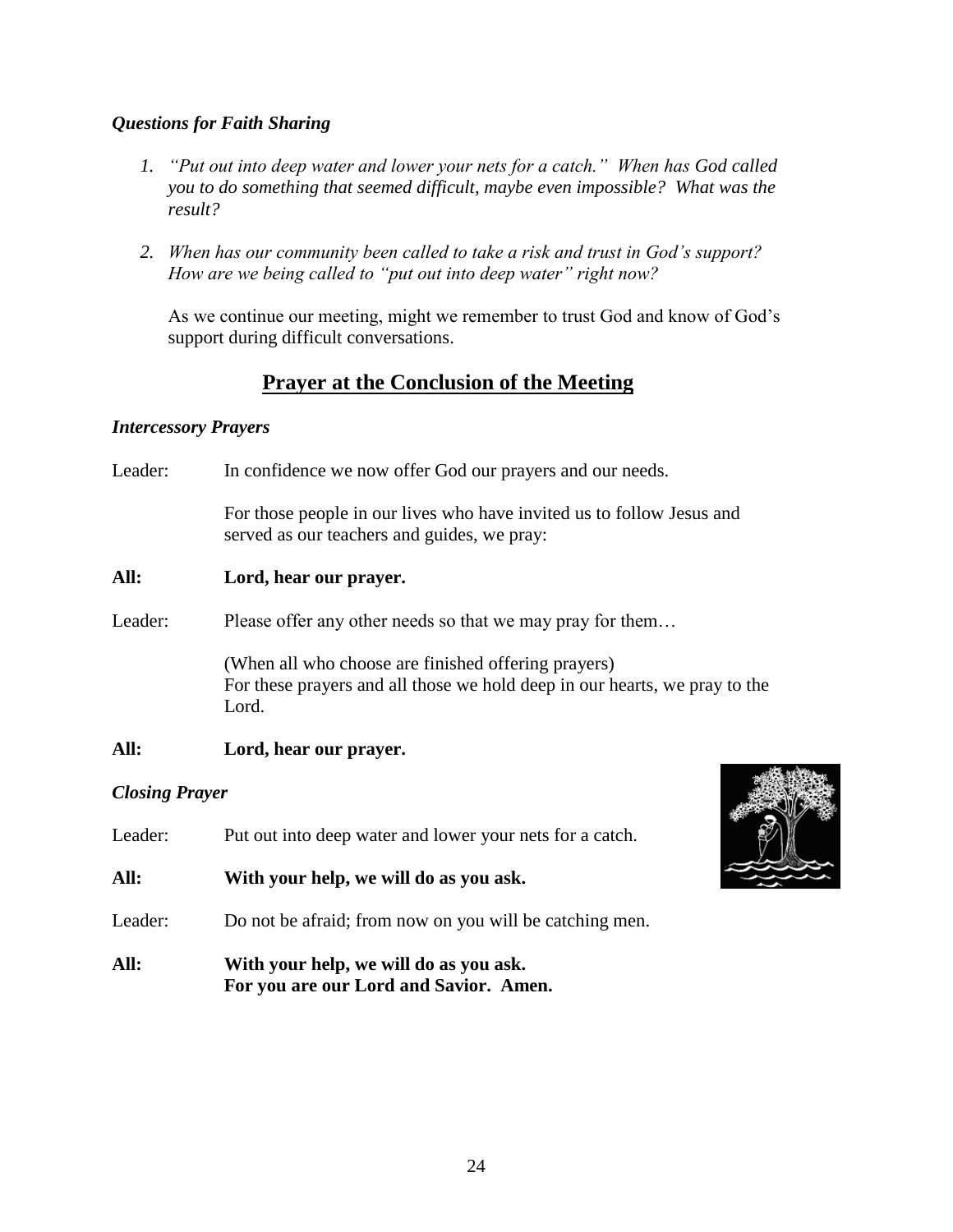#### *Questions for Faith Sharing*

- *1. "Put out into deep water and lower your nets for a catch." When has God called you to do something that seemed difficult, maybe even impossible? What was the result?*
- *2. When has our community been called to take a risk and trust in God's support? How are we being called to "put out into deep water" right now?*

As we continue our meeting, might we remember to trust God and know of God's support during difficult conversations.

## **Prayer at the Conclusion of the Meeting**

#### *Intercessory Prayers*

| Leader:               | In confidence we now offer God our prayers and our needs.                                                                                  |
|-----------------------|--------------------------------------------------------------------------------------------------------------------------------------------|
|                       | For those people in our lives who have invited us to follow Jesus and<br>served as our teachers and guides, we pray:                       |
| All:                  | Lord, hear our prayer.                                                                                                                     |
| Leader:               | Please offer any other needs so that we may pray for them                                                                                  |
|                       | (When all who choose are finished offering prayers)<br>For these prayers and all those we hold deep in our hearts, we pray to the<br>Lord. |
| All:                  | Lord, hear our prayer.                                                                                                                     |
| <b>Closing Prayer</b> |                                                                                                                                            |
| Leader:               | Put out into deep water and lower your nets for a catch.                                                                                   |
| All:                  | With your help, we will do as you ask.                                                                                                     |
|                       |                                                                                                                                            |

- Leader: Do not be afraid; from now on you will be catching men.
- **All: With your help, we will do as you ask. For you are our Lord and Savior. Amen.**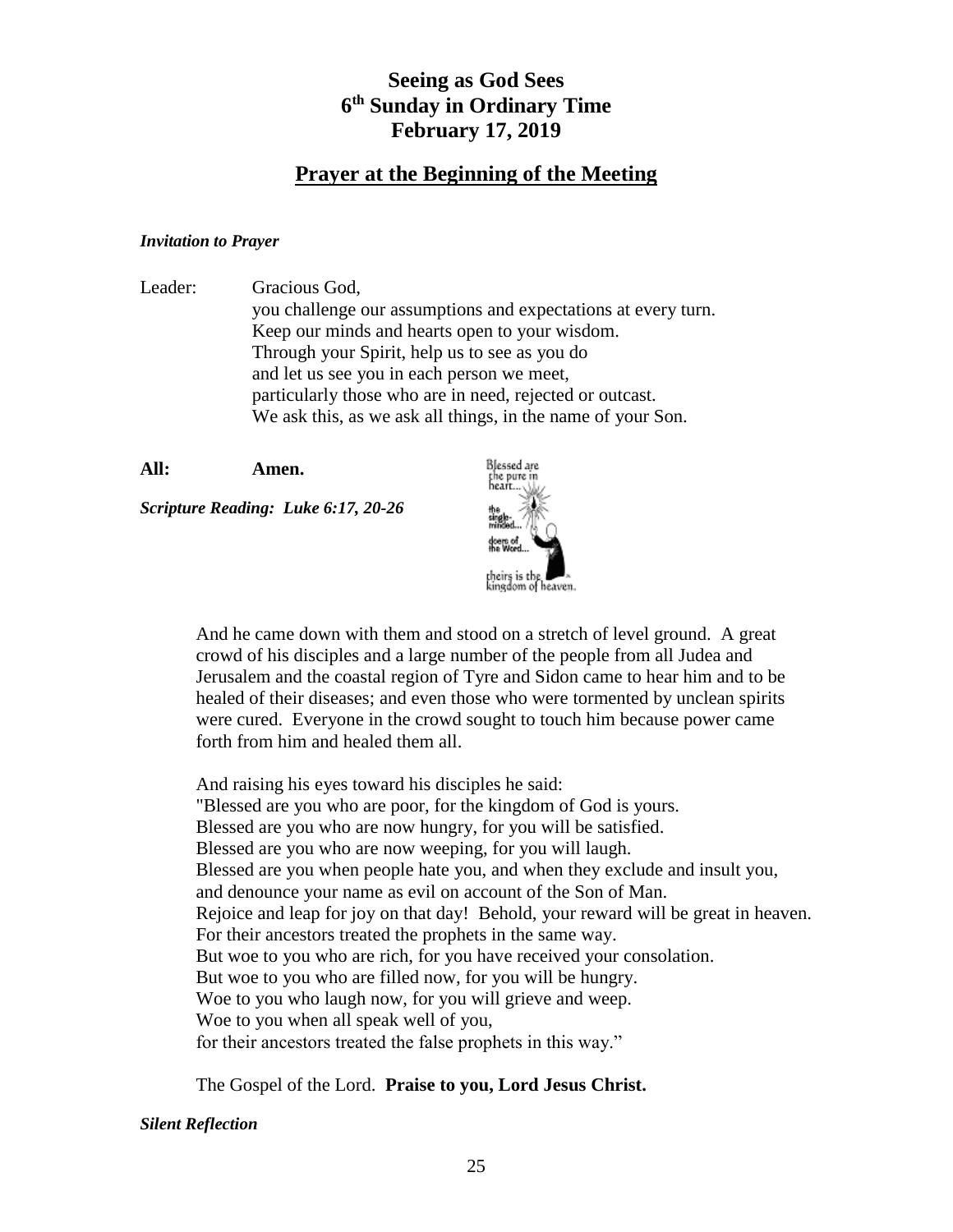## **Seeing as God Sees 6 th Sunday in Ordinary Time February 17, 2019**

## **Prayer at the Beginning of the Meeting**

#### *Invitation to Prayer*

Leader: Gracious God, you challenge our assumptions and expectations at every turn. Keep our minds and hearts open to your wisdom. Through your Spirit, help us to see as you do and let us see you in each person we meet, particularly those who are in need, rejected or outcast. We ask this, as we ask all things, in the name of your Son.

**All: Amen.**

*Scripture Reading: Luke 6:17, 20-26*



And he came down with them and stood on a stretch of level ground. A great crowd of his disciples and a large number of the people from all Judea and Jerusalem and the coastal region of Tyre and Sidon came to hear him and to be healed of their diseases; and even those who were tormented by unclean spirits were cured. Everyone in the crowd sought to touch him because power came forth from him and healed them all.

And raising his eyes toward his disciples he said: "Blessed are you who are poor, for the kingdom of God is yours. Blessed are you who are now hungry, for you will be satisfied. Blessed are you who are now weeping, for you will laugh. Blessed are you when people hate you, and when they exclude and insult you, and denounce your name as evil on account of the Son of Man. Rejoice and leap for joy on that day! Behold, your reward will be great in heaven. For their ancestors treated the prophets in the same way. But woe to you who are rich, for you have received your consolation. But woe to you who are filled now, for you will be hungry. Woe to you who laugh now, for you will grieve and weep. Woe to you when all speak well of you, for their ancestors treated the false prophets in this way."

The Gospel of the Lord. **Praise to you, Lord Jesus Christ.**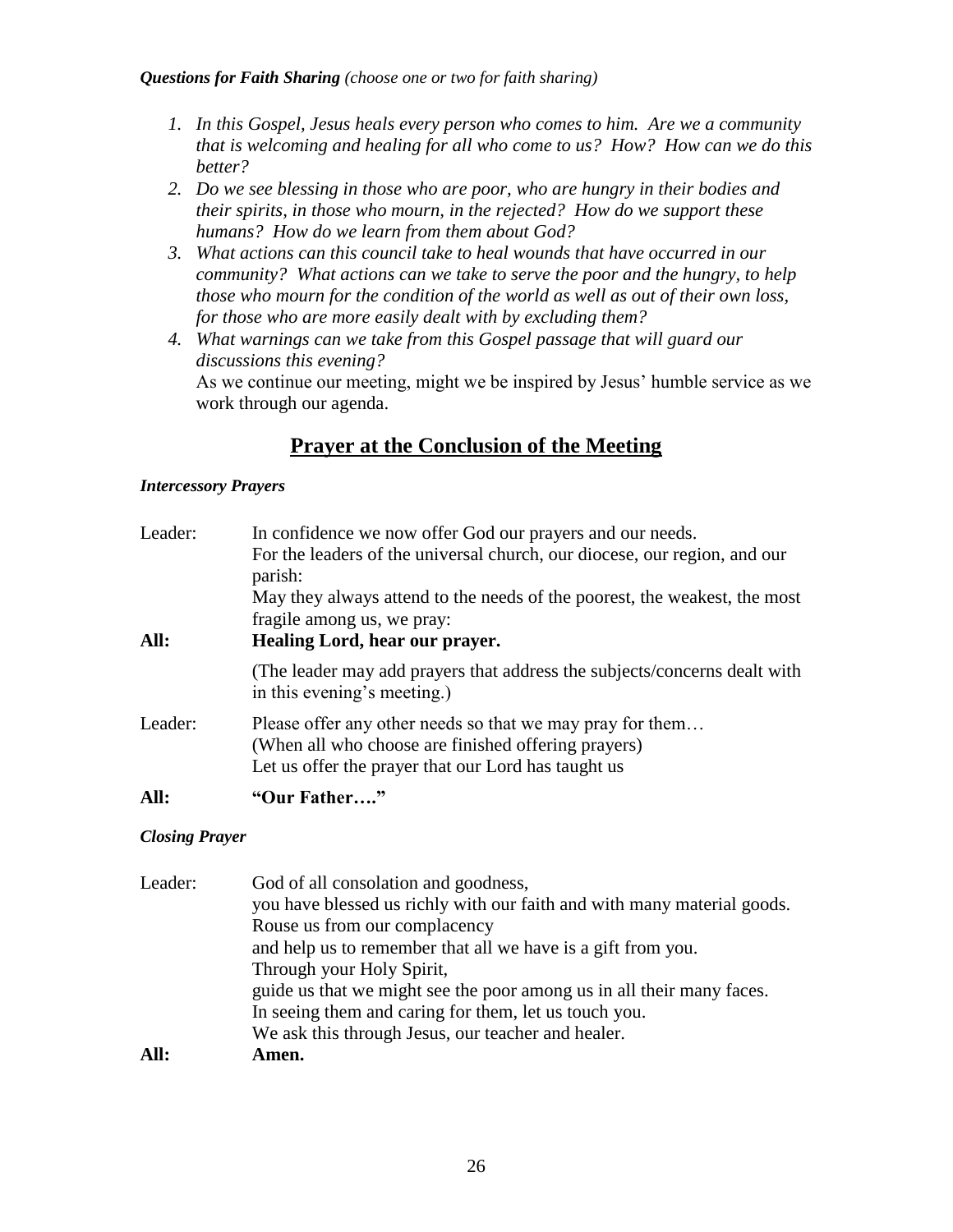- *1. In this Gospel, Jesus heals every person who comes to him. Are we a community that is welcoming and healing for all who come to us? How? How can we do this better?*
- *2. Do we see blessing in those who are poor, who are hungry in their bodies and their spirits, in those who mourn, in the rejected? How do we support these humans? How do we learn from them about God?*
- *3. What actions can this council take to heal wounds that have occurred in our community? What actions can we take to serve the poor and the hungry, to help those who mourn for the condition of the world as well as out of their own loss, for those who are more easily dealt with by excluding them?*
- *4. What warnings can we take from this Gospel passage that will guard our discussions this evening?*

As we continue our meeting, might we be inspired by Jesus' humble service as we work through our agenda.

## **Prayer at the Conclusion of the Meeting**

#### *Intercessory Prayers*

| Leader: | In confidence we now offer God our prayers and our needs.<br>For the leaders of the universal church, our diocese, our region, and our                                  |
|---------|-------------------------------------------------------------------------------------------------------------------------------------------------------------------------|
| All:    | parish:<br>May they always attend to the needs of the poorest, the weakest, the most<br>fragile among us, we pray:<br>Healing Lord, hear our prayer.                    |
|         | (The leader may add prayers that address the subjects/concerns dealt with<br>in this evening's meeting.)                                                                |
| Leader: | Please offer any other needs so that we may pray for them<br>(When all who choose are finished offering prayers)<br>Let us offer the prayer that our Lord has taught us |
| All:    | "Our Father"                                                                                                                                                            |

#### *Closing Prayer*

| Leader: | God of all consolation and goodness,                                    |
|---------|-------------------------------------------------------------------------|
|         | you have blessed us richly with our faith and with many material goods. |
|         | Rouse us from our complacency                                           |
|         | and help us to remember that all we have is a gift from you.            |
|         | Through your Holy Spirit,                                               |
|         | guide us that we might see the poor among us in all their many faces.   |
|         | In seeing them and caring for them, let us touch you.                   |
|         | We ask this through Jesus, our teacher and healer.                      |
| All:    | Amen.                                                                   |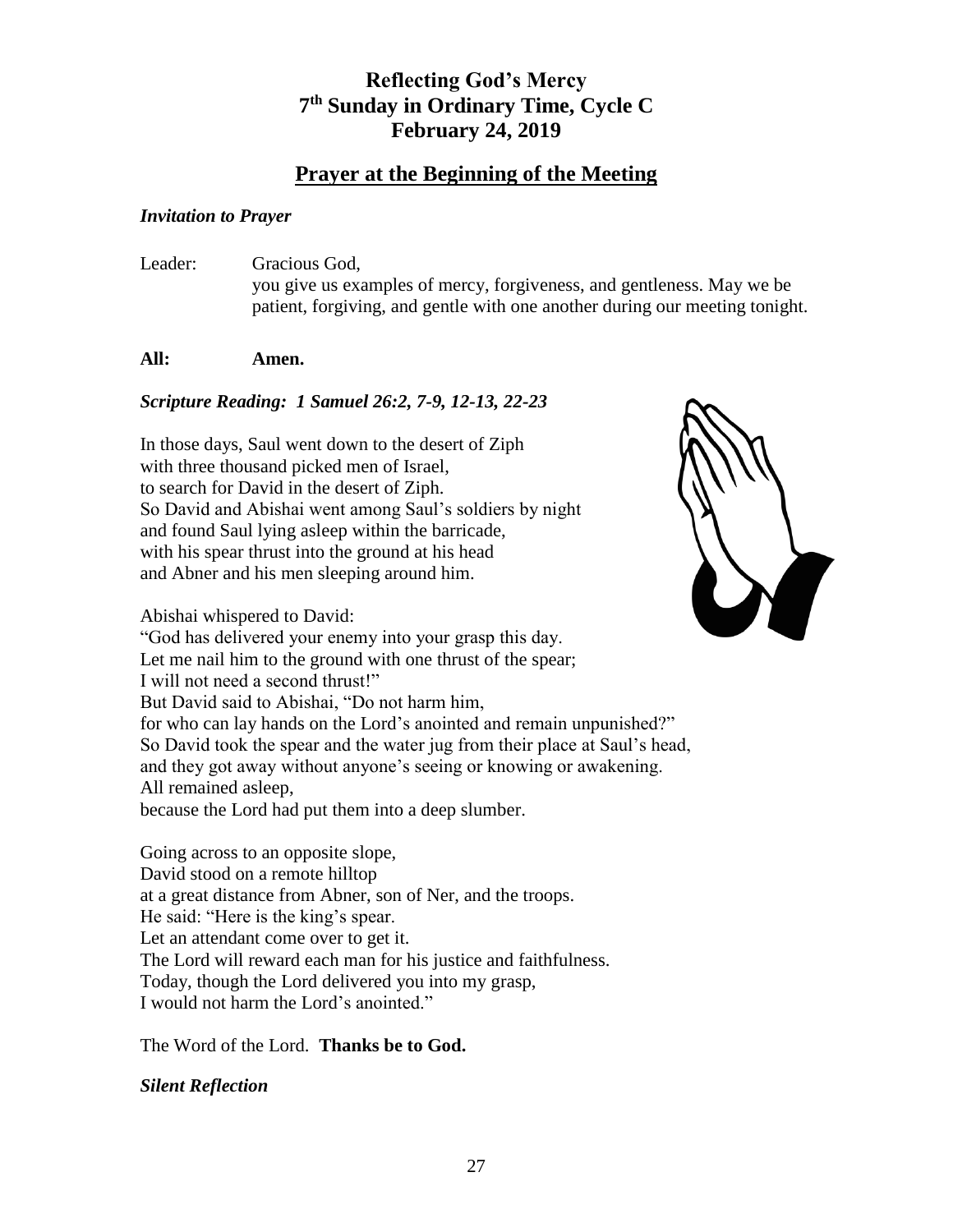## **Reflecting God's Mercy 7 th Sunday in Ordinary Time, Cycle C February 24, 2019**

## **Prayer at the Beginning of the Meeting**

#### *Invitation to Prayer*

Leader: Gracious God,

you give us examples of mercy, forgiveness, and gentleness. May we be patient, forgiving, and gentle with one another during our meeting tonight.

#### **All: Amen.**

#### *Scripture Reading: 1 Samuel 26:2, 7-9, 12-13, 22-23*

In those days, Saul went down to the desert of Ziph with three thousand picked men of Israel, to search for David in the desert of Ziph. So David and Abishai went among Saul's soldiers by night and found Saul lying asleep within the barricade, with his spear thrust into the ground at his head and Abner and his men sleeping around him.

Abishai whispered to David: "God has delivered your enemy into your grasp this day. Let me nail him to the ground with one thrust of the spear; I will not need a second thrust!" But David said to Abishai, "Do not harm him, for who can lay hands on the Lord's anointed and remain unpunished?" So David took the spear and the water jug from their place at Saul's head, and they got away without anyone's seeing or knowing or awakening. All remained asleep, because the Lord had put them into a deep slumber.

Going across to an opposite slope, David stood on a remote hilltop at a great distance from Abner, son of Ner, and the troops. He said: "Here is the king's spear. Let an attendant come over to get it. The Lord will reward each man for his justice and faithfulness. Today, though the Lord delivered you into my grasp, I would not harm the Lord's anointed."

The Word of the Lord. **Thanks be to God.**

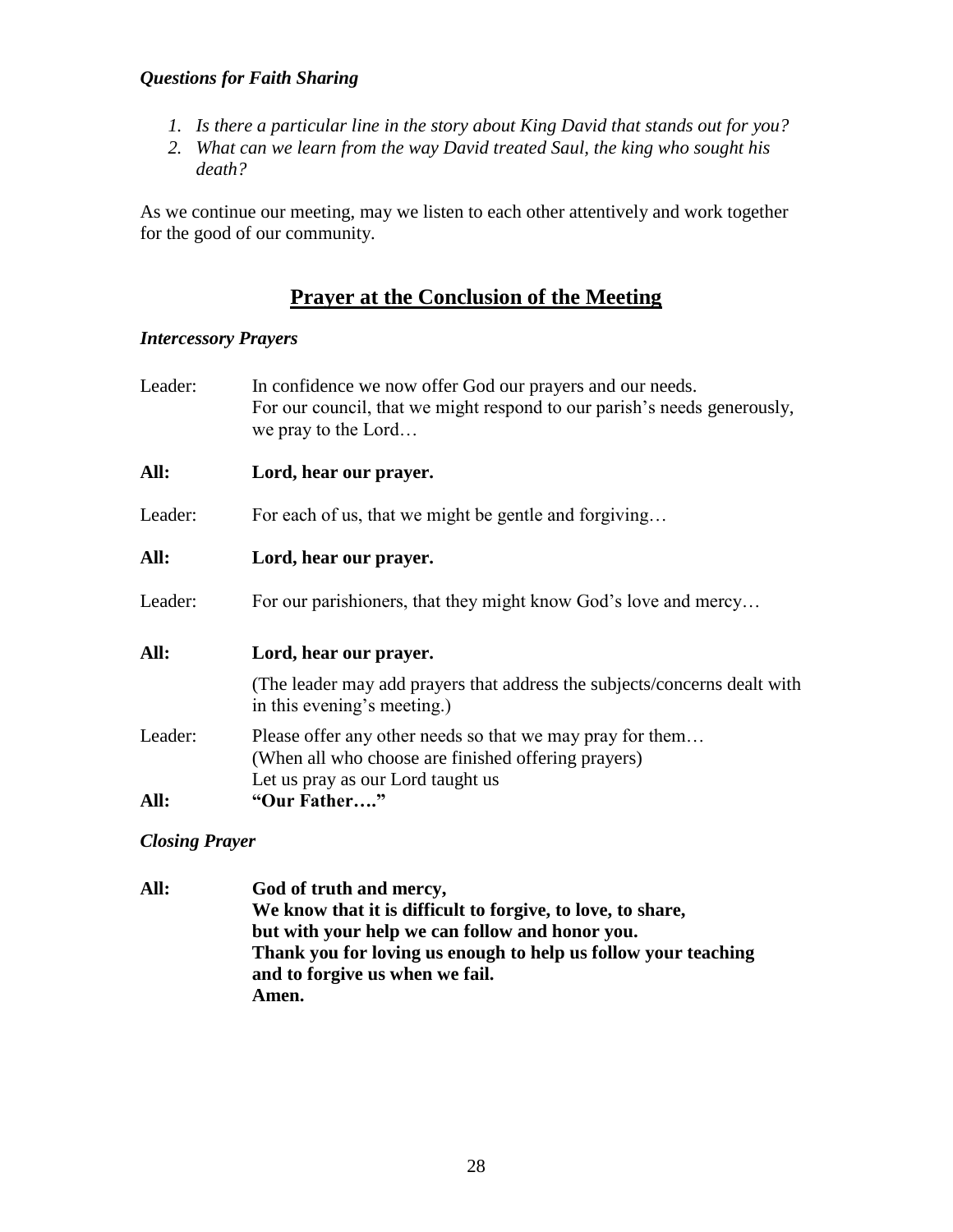#### *Questions for Faith Sharing*

- *1. Is there a particular line in the story about King David that stands out for you?*
- *2. What can we learn from the way David treated Saul, the king who sought his death?*

As we continue our meeting, may we listen to each other attentively and work together for the good of our community.

## **Prayer at the Conclusion of the Meeting**

#### *Intercessory Prayers*

Leader: In confidence we now offer God our prayers and our needs. For our council, that we might respond to our parish's needs generously, we pray to the Lord… **All: Lord, hear our prayer.** Leader: For each of us, that we might be gentle and forgiving... **All: Lord, hear our prayer.** Leader: For our parishioners, that they might know God's love and mercy... **All: Lord, hear our prayer.** (The leader may add prayers that address the subjects/concerns dealt with in this evening's meeting.) Leader: Please offer any other needs so that we may pray for them... (When all who choose are finished offering prayers) Let us pray as our Lord taught us **All: "Our Father…."**

#### *Closing Prayer*

**All: God of truth and mercy, We know that it is difficult to forgive, to love, to share, but with your help we can follow and honor you. Thank you for loving us enough to help us follow your teaching and to forgive us when we fail. Amen.**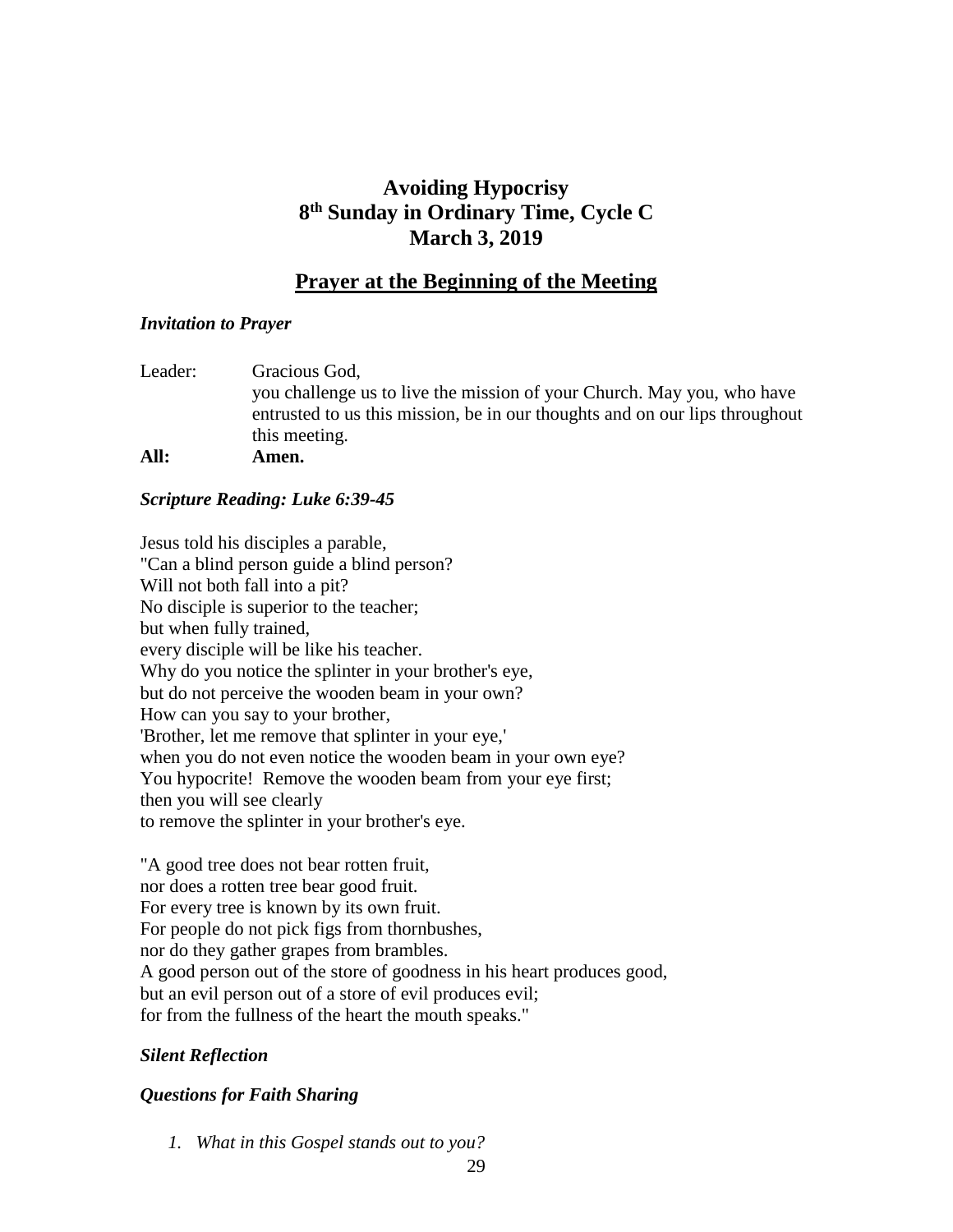## **Avoiding Hypocrisy 8 th Sunday in Ordinary Time, Cycle C March 3, 2019**

## **Prayer at the Beginning of the Meeting**

#### *Invitation to Prayer*

| Leader: | Gracious God,                                                               |
|---------|-----------------------------------------------------------------------------|
|         | you challenge us to live the mission of your Church. May you, who have      |
|         | entrusted to us this mission, be in our thoughts and on our lips throughout |
|         | this meeting.                                                               |
| All:    | Amen.                                                                       |

#### *Scripture Reading: Luke 6:39-45*

Jesus told his disciples a parable, "Can a blind person guide a blind person? Will not both fall into a pit? No disciple is superior to the teacher; but when fully trained, every disciple will be like his teacher. Why do you notice the splinter in your brother's eye, but do not perceive the wooden beam in your own? How can you say to your brother, 'Brother, let me remove that splinter in your eye,' when you do not even notice the wooden beam in your own eye? You hypocrite! Remove the wooden beam from your eye first; then you will see clearly to remove the splinter in your brother's eye.

"A good tree does not bear rotten fruit, nor does a rotten tree bear good fruit. For every tree is known by its own fruit. For people do not pick figs from thornbushes, nor do they gather grapes from brambles. A good person out of the store of goodness in his heart produces good, but an evil person out of a store of evil produces evil; for from the fullness of the heart the mouth speaks."

#### *Silent Reflection*

#### *Questions for Faith Sharing*

*1. What in this Gospel stands out to you?*